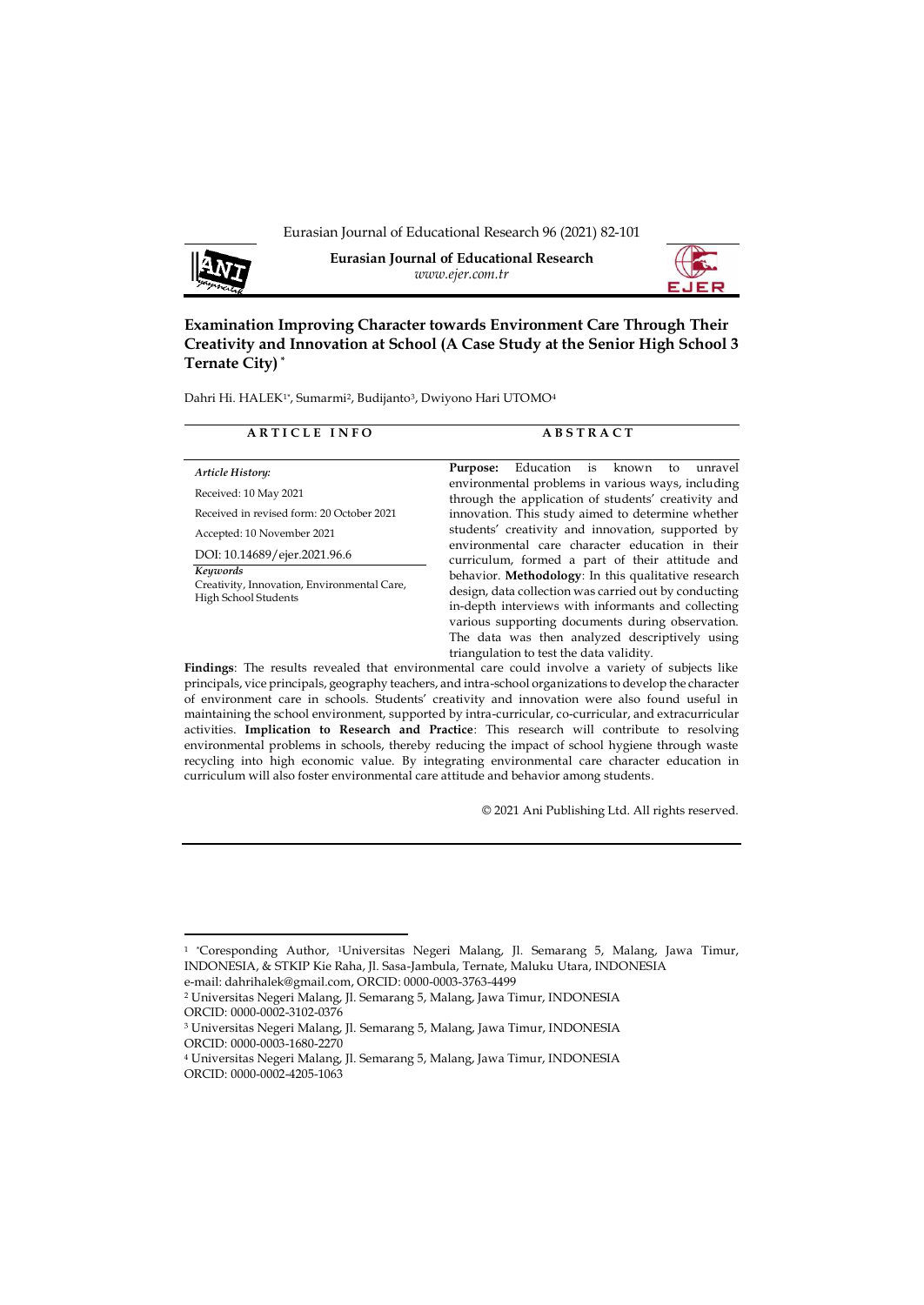

**Eurasian Journal of Educational Research** *www.ejer.com.tr*



**Examination Improving Character towards Environment Care Through Their Creativity and Innovation at School (A Case Study at the Senior High School 3 Ternate City) \***

Dahri Hi. HALEK1\*, Sumarmi<sup>2</sup>, Budijanto<sup>3</sup>, Dwiyono Hari UTOMO4

| <b>ARTICLE INFO</b>                                                                                                                                  | <b>ABSTRACT</b>                                                                                                                                                                                                                                                                                                                                                         |  |  |
|------------------------------------------------------------------------------------------------------------------------------------------------------|-------------------------------------------------------------------------------------------------------------------------------------------------------------------------------------------------------------------------------------------------------------------------------------------------------------------------------------------------------------------------|--|--|
| Article History:<br>Received: 10 May 2021<br>Received in revised form: 20 October 2021<br>Accepted: 10 November 2021<br>DOI: 10.14689/ejer.2021.96.6 | Education is known<br>unravel<br>Purpose:<br>to<br>environmental problems in various ways, including<br>through the application of students' creativity and<br>innovation. This study aimed to determine whether<br>students' creativity and innovation, supported by<br>environmental care character education in their                                                |  |  |
| Keywords<br>Creativity, Innovation, Environmental Care,<br>High School Students                                                                      | curriculum, formed a part of their attitude and<br>behavior. Methodology: In this qualitative research<br>design, data collection was carried out by conducting<br>in-depth interviews with informants and collecting<br>various supporting documents during observation.<br>The data was then analyzed descriptively using<br>triangulation to test the data validity. |  |  |
| Findings: The results revealed that environmental care could involve a variety of subjects like                                                      |                                                                                                                                                                                                                                                                                                                                                                         |  |  |

principals, vice principals, geography teachers, and intra-school organizations to develop the character of environment care in schools. Students' creativity and innovation were also found useful in maintaining the school environment, supported by intra-curricular, co-curricular, and extracurricular activities. **Implication to Research and Practice**: This research will contribute to resolving environmental problems in schools, thereby reducing the impact of school hygiene through waste recycling into high economic value. By integrating environmental care character education in curriculum will also foster environmental care attitude and behavior among students.

© 2021 Ani Publishing Ltd. All rights reserved.

<sup>&</sup>lt;sup>1</sup> 'Coresponding Author, 'Universitas Negeri Malang, Jl. Semarang 5, Malang, Jawa Timur, INDONESIA, & STKIP Kie Raha, Jl. Sasa-Jambula, Ternate, Maluku Utara, INDONESIA

e-mail: [dahrihalek@gmail.com,](mailto:dahrihalek@gmail.com) ORCID: 0000-0003-3763-4499

<sup>2</sup> Universitas Negeri Malang, Jl. Semarang 5, Malang, Jawa Timur, INDONESIA ORCID: [0000-0002-3102-0376](https://www.scopus.com/redirect.uri?url=https://orcid.org/0000-0002-3102-0376&authorId=57201353799&origin=AuthorProfile&orcId=0000-0002-3102-0376&category=orcidLink%22)

<sup>3</sup> Universitas Negeri Malang, Jl. Semarang 5, Malang, Jawa Timur, INDONESIA ORCID: [0000-0003-1680-2270](https://www.scopus.com/redirect.uri?url=https://orcid.org/0000-0003-1680-2270&authorId=56703670700&origin=AuthorProfile&orcId=0000-0003-1680-2270&category=orcidLink%22)

<sup>4</sup> Universitas Negeri Malang, Jl. Semarang 5, Malang, Jawa Timur, INDONESIA ORCID: [0000-0002-4205-1063](https://www.scopus.com/redirect.uri?url=https://orcid.org/0000-0002-4205-1063&authorId=57208468525&origin=AuthorProfile&orcId=0000-0002-4205-1063&category=orcidLink%22)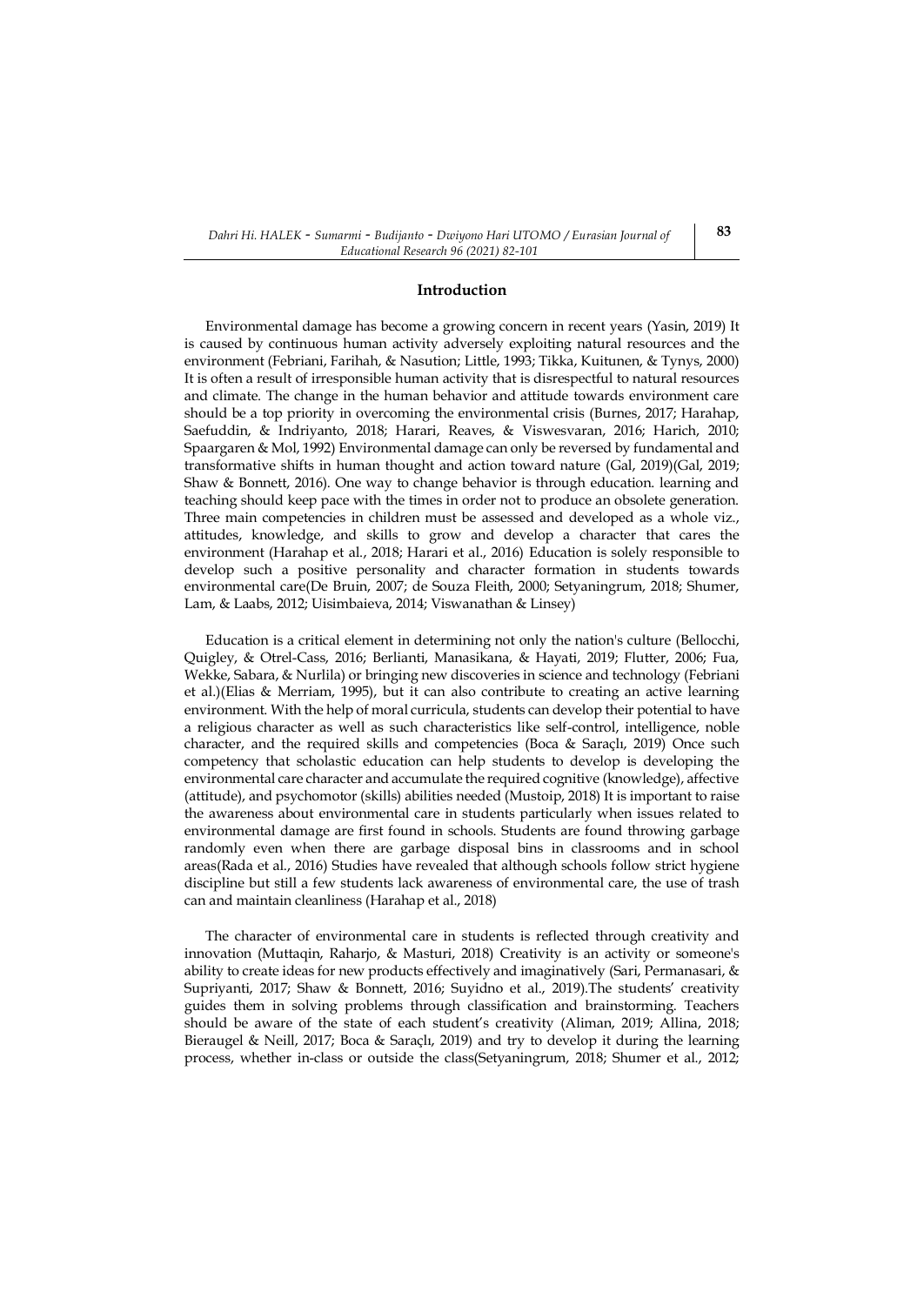#### **Introduction**

Environmental damage has become a growing concern in recent years (Yasin, 2019) It is caused by continuous human activity adversely exploiting natural resources and the environment (Febriani, Farihah, & Nasution; Little, 1993; Tikka, Kuitunen, & Tynys, 2000) It is often a result of irresponsible human activity that is disrespectful to natural resources and climate. The change in the human behavior and attitude towards environment care should be a top priority in overcoming the environmental crisis (Burnes, 2017; Harahap, Saefuddin, & Indriyanto, 2018; Harari, Reaves, & Viswesvaran, 2016; Harich, 2010; Spaargaren & Mol, 1992) Environmental damage can only be reversed by fundamental and transformative shifts in human thought and action toward nature (Gal, 2019)(Gal, 2019; Shaw & Bonnett, 2016). One way to change behavior is through education. learning and teaching should keep pace with the times in order not to produce an obsolete generation. Three main competencies in children must be assessed and developed as a whole viz., attitudes, knowledge, and skills to grow and develop a character that cares the environment (Harahap et al., 2018; Harari et al., 2016) Education is solely responsible to develop such a positive personality and character formation in students towards environmental care(De Bruin, 2007; de Souza Fleith, 2000; Setyaningrum, 2018; Shumer, Lam, & Laabs, 2012; Uisimbaieva, 2014; Viswanathan & Linsey)

Education is a critical element in determining not only the nation's culture (Bellocchi, Quigley, & Otrel-Cass, 2016; Berlianti, Manasikana, & Hayati, 2019; Flutter, 2006; Fua, Wekke, Sabara, & Nurlila) or bringing new discoveries in science and technology (Febriani et al.)(Elias & Merriam, 1995), but it can also contribute to creating an active learning environment. With the help of moral curricula, students can develop their potential to have a religious character as well as such characteristics like self-control, intelligence, noble character, and the required skills and competencies (Boca & Saraçlı, 2019) Once such competency that scholastic education can help students to develop is developing the environmental care character and accumulate the required cognitive (knowledge), affective (attitude), and psychomotor (skills) abilities needed (Mustoip, 2018) It is important to raise the awareness about environmental care in students particularly when issues related to environmental damage are first found in schools. Students are found throwing garbage randomly even when there are garbage disposal bins in classrooms and in school areas(Rada et al., 2016) Studies have revealed that although schools follow strict hygiene discipline but still a few students lack awareness of environmental care, the use of trash can and maintain cleanliness (Harahap et al., 2018)

The character of environmental care in students is reflected through creativity and innovation (Muttaqin, Raharjo, & Masturi, 2018) Creativity is an activity or someone's ability to create ideas for new products effectively and imaginatively (Sari, Permanasari, & Supriyanti, 2017; Shaw & Bonnett, 2016; Suyidno et al., 2019).The students' creativity guides them in solving problems through classification and brainstorming. Teachers should be aware of the state of each student's creativity (Aliman, 2019; Allina, 2018; Bieraugel & Neill, 2017; Boca & Saraçlı, 2019) and try to develop it during the learning process, whether in-class or outside the class(Setyaningrum, 2018; Shumer et al., 2012;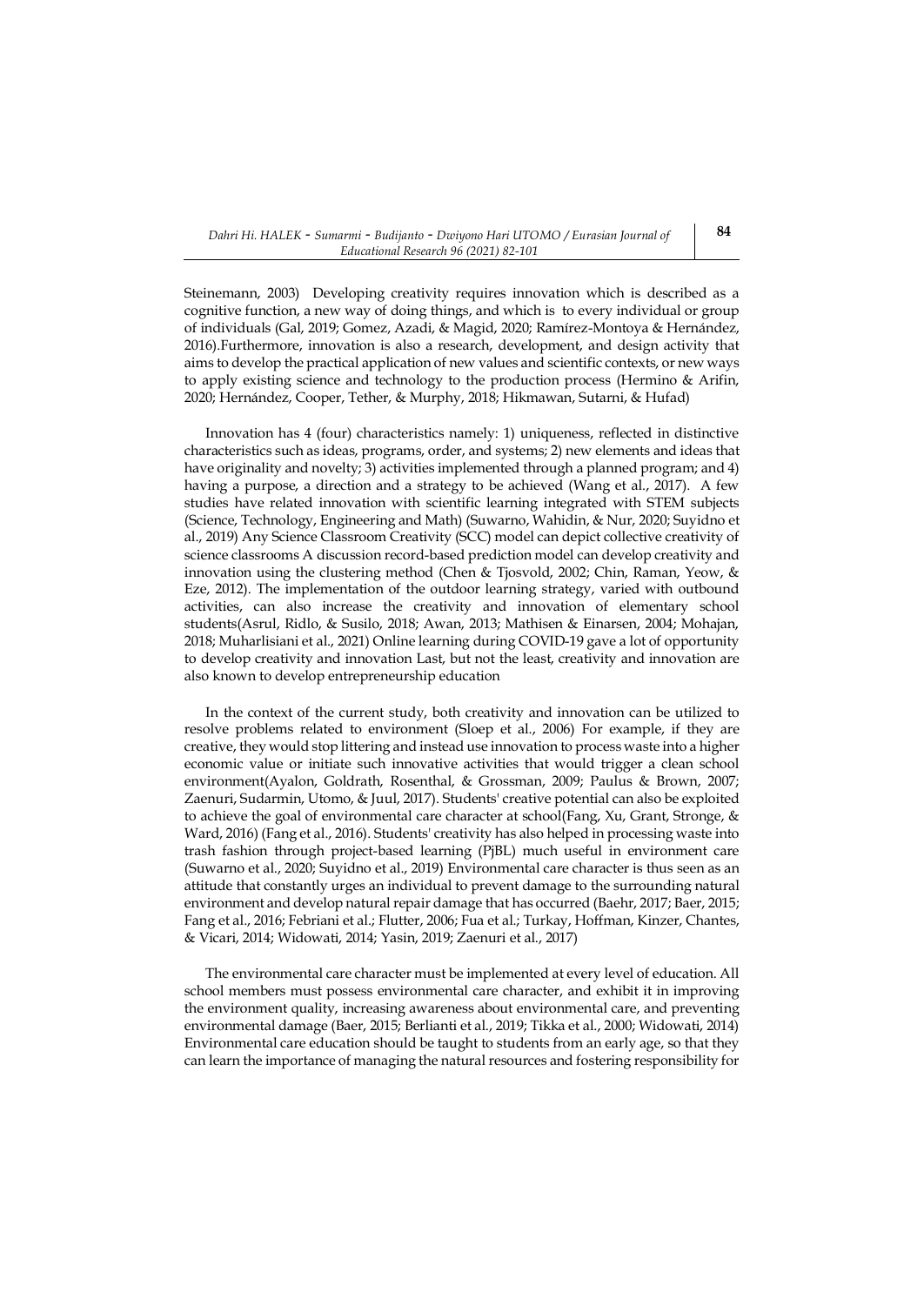Steinemann, 2003) Developing creativity requires innovation which is described as a cognitive function, a new way of doing things, and which is to every individual or group of individuals (Gal, 2019; Gomez, Azadi, & Magid, 2020; Ramírez-Montoya & Hernández, 2016).Furthermore, innovation is also a research, development, and design activity that aims to develop the practical application of new values and scientific contexts, or new ways to apply existing science and technology to the production process (Hermino & Arifin, 2020; Hernández, Cooper, Tether, & Murphy, 2018; Hikmawan, Sutarni, & Hufad)

Innovation has 4 (four) characteristics namely: 1) uniqueness, reflected in distinctive characteristics such as ideas, programs, order, and systems; 2) new elements and ideas that have originality and novelty; 3) activities implemented through a planned program; and 4) having a purpose, a direction and a strategy to be achieved (Wang et al., 2017). A few studies have related innovation with scientific learning integrated with STEM subjects (Science, Technology, Engineering and Math) (Suwarno, Wahidin, & Nur, 2020; Suyidno et al., 2019) Any Science Classroom Creativity (SCC) model can depict collective creativity of science classrooms A discussion record-based prediction model can develop creativity and innovation using the clustering method (Chen & Tjosvold, 2002; Chin, Raman, Yeow, & Eze, 2012). The implementation of the outdoor learning strategy, varied with outbound activities, can also increase the creativity and innovation of elementary school students(Asrul, Ridlo, & Susilo, 2018; Awan, 2013; Mathisen & Einarsen, 2004; Mohajan, 2018; Muharlisiani et al., 2021) Online learning during COVID-19 gave a lot of opportunity to develop creativity and innovation Last, but not the least, creativity and innovation are also known to develop entrepreneurship education

In the context of the current study, both creativity and innovation can be utilized to resolve problems related to environment (Sloep et al., 2006) For example, if they are creative, they would stop littering and instead use innovation to process waste into a higher economic value or initiate such innovative activities that would trigger a clean school environment(Ayalon, Goldrath, Rosenthal, & Grossman, 2009; Paulus & Brown, 2007; Zaenuri, Sudarmin, Utomo, & Juul, 2017). Students' creative potential can also be exploited to achieve the goal of environmental care character at school(Fang, Xu, Grant, Stronge, & Ward, 2016) (Fang et al., 2016). Students' creativity has also helped in processing waste into trash fashion through project-based learning (PjBL) much useful in environment care (Suwarno et al., 2020; Suyidno et al., 2019) Environmental care character is thus seen as an attitude that constantly urges an individual to prevent damage to the surrounding natural environment and develop natural repair damage that has occurred (Baehr, 2017; Baer, 2015; Fang et al., 2016; Febriani et al.; Flutter, 2006; Fua et al.; Turkay, Hoffman, Kinzer, Chantes, & Vicari, 2014; Widowati, 2014; Yasin, 2019; Zaenuri et al., 2017)

The environmental care character must be implemented at every level of education. All school members must possess environmental care character, and exhibit it in improving the environment quality, increasing awareness about environmental care, and preventing environmental damage (Baer, 2015; Berlianti et al., 2019; Tikka et al., 2000; Widowati, 2014) Environmental care education should be taught to students from an early age, so that they can learn the importance of managing the natural resources and fostering responsibility for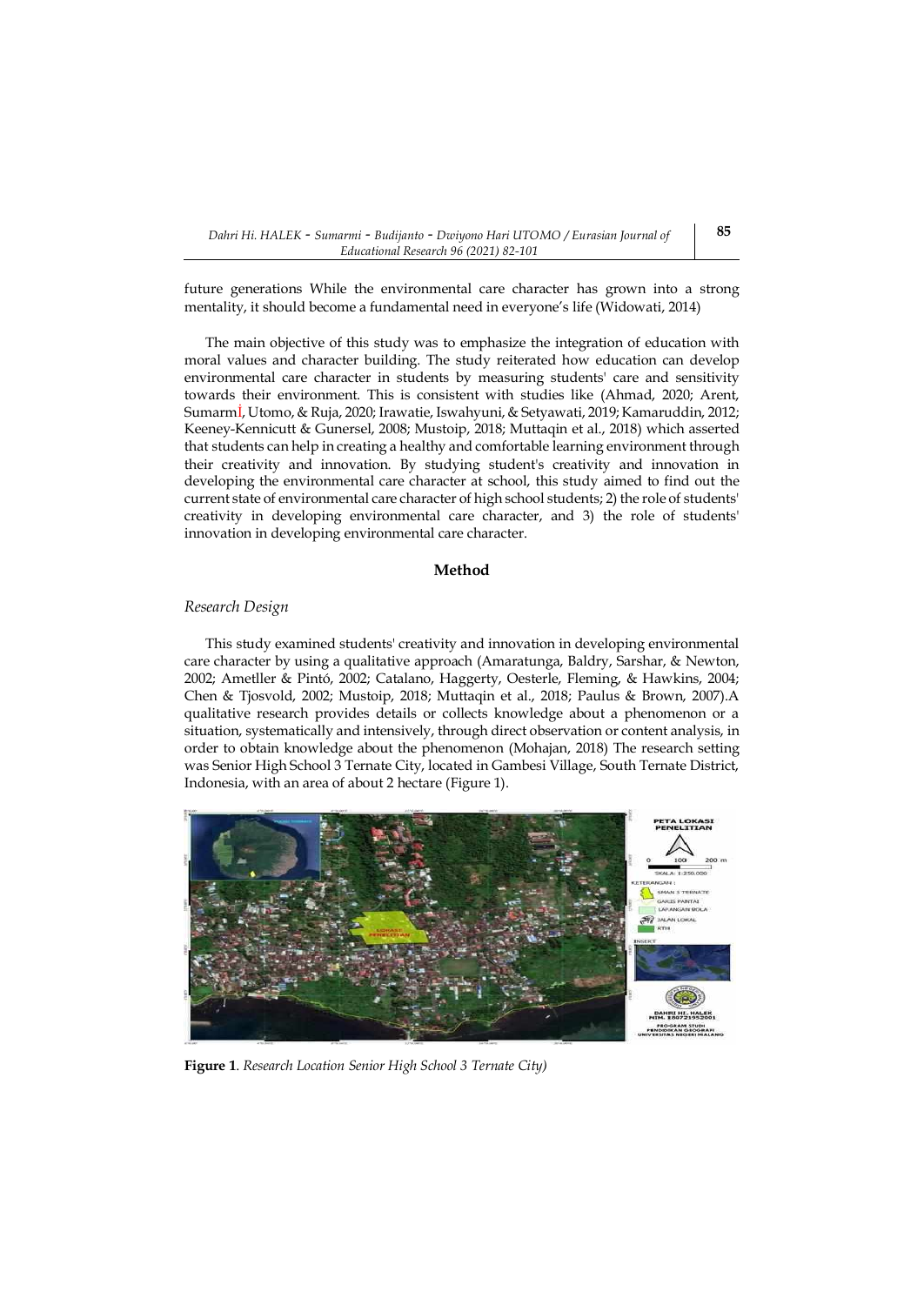future generations While the environmental care character has grown into a strong mentality, it should become a fundamental need in everyone's life (Widowati, 2014)

The main objective of this study was to emphasize the integration of education with moral values and character building. The study reiterated how education can develop environmental care character in students by measuring students' care and sensitivity towards their environment. This is consistent with studies like (Ahmad, 2020; Arent, Sumarmİ, Utomo, & Ruja, 2020; Irawatie, Iswahyuni, & Setyawati, 2019; Kamaruddin, 2012; Keeney-Kennicutt & Gunersel, 2008; Mustoip, 2018; Muttaqin et al., 2018) which asserted that students can help in creating a healthy and comfortable learning environment through their creativity and innovation. By studying student's creativity and innovation in developing the environmental care character at school, this study aimed to find out the current state of environmental care character of high school students; 2) the role of students' creativity in developing environmental care character, and 3) the role of students' innovation in developing environmental care character.

## **Method**

#### *Research Design*

This study examined students' creativity and innovation in developing environmental care character by using a qualitative approach (Amaratunga, Baldry, Sarshar, & Newton, 2002; Ametller & Pintó, 2002; Catalano, Haggerty, Oesterle, Fleming, & Hawkins, 2004; Chen & Tjosvold, 2002; Mustoip, 2018; Muttaqin et al., 2018; Paulus & Brown, 2007).A qualitative research provides details or collects knowledge about a phenomenon or a situation, systematically and intensively, through direct observation or content analysis, in order to obtain knowledge about the phenomenon (Mohajan, 2018) The research setting was Senior High School 3 Ternate City, located in Gambesi Village, South Ternate District, Indonesia, with an area of about 2 hectare (Figure 1).



**Figure 1**. *Research Location Senior High School 3 Ternate City)*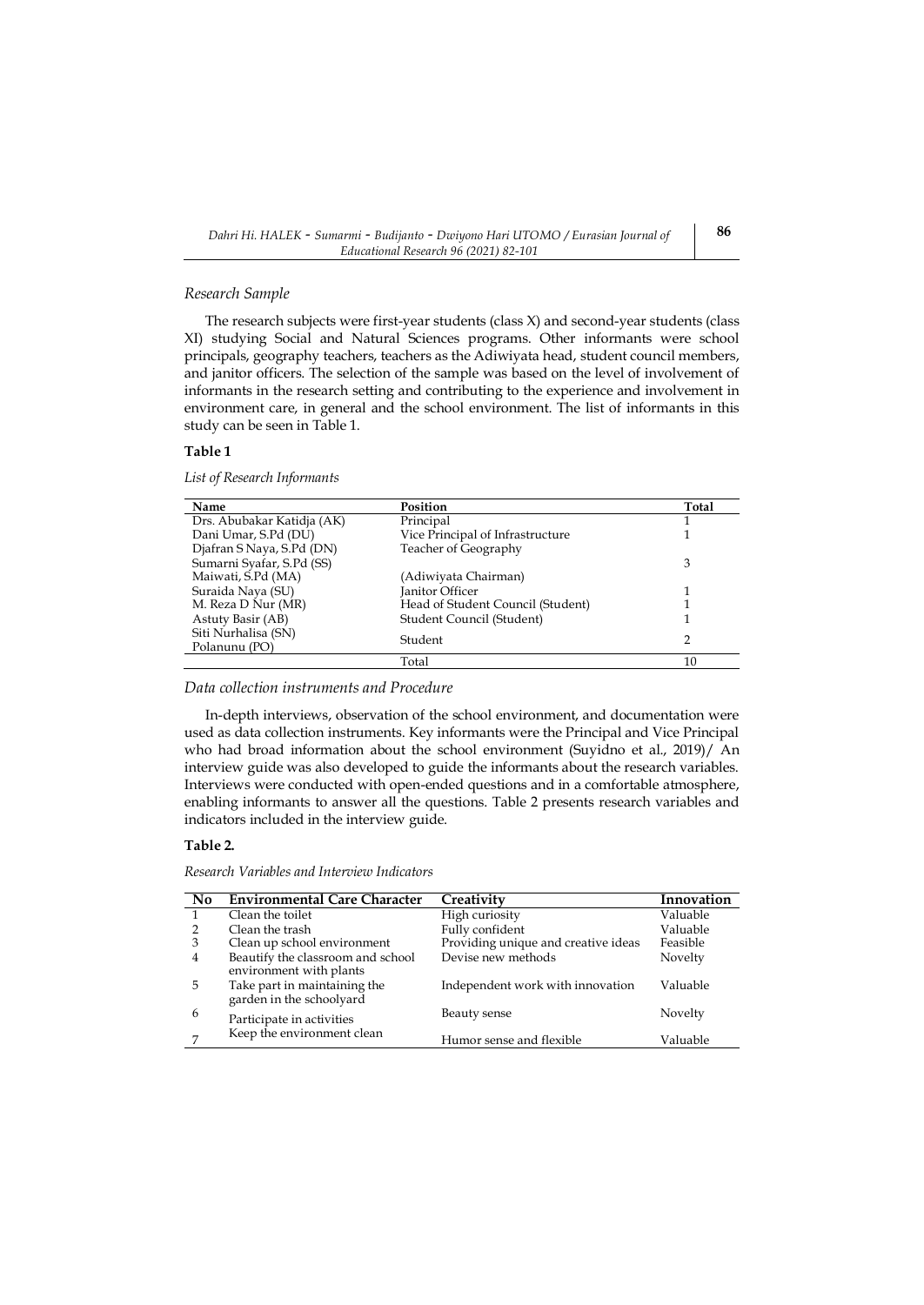#### *Research Sample*

The research subjects were first-year students (class X) and second-year students (class XI) studying Social and Natural Sciences programs. Other informants were school principals, geography teachers, teachers as the Adiwiyata head, student council members, and janitor officers. The selection of the sample was based on the level of involvement of informants in the research setting and contributing to the experience and involvement in environment care, in general and the school environment. The list of informants in this study can be seen in Table 1.

### **Table 1**

*List of Research Informants*

| Name                       | Position                          | Total |
|----------------------------|-----------------------------------|-------|
| Drs. Abubakar Katidja (AK) | Principal                         |       |
| Dani Umar, S.Pd (DU)       | Vice Principal of Infrastructure  |       |
| Djafran S Naya, S.Pd (DN)  | Teacher of Geography              |       |
| Sumarni Syafar, S.Pd (SS)  |                                   | 3     |
| Maiwati, S.Pd (MA)         | (Adiwiyata Chairman)              |       |
| Suraida Naya (SU)          | Janitor Officer                   |       |
| M. Reza D Nur (MR)         | Head of Student Council (Student) |       |
| Astuty Basir (AB)          | Student Council (Student)         |       |
| Siti Nurhalisa (SN)        | Student                           | 2     |
| Polanunu (PO)              |                                   |       |
|                            | Total                             | 10    |

*Data collection instruments and Procedure*

In-depth interviews, observation of the school environment, and documentation were used as data collection instruments. Key informants were the Principal and Vice Principal who had broad information about the school environment (Suyidno et al., 2019)/ An interview guide was also developed to guide the informants about the research variables. Interviews were conducted with open-ended questions and in a comfortable atmosphere, enabling informants to answer all the questions. Table 2 presents research variables and indicators included in the interview guide.

## **Table 2.**

*Research Variables and Interview Indicators*

| No. | <b>Environmental Care Character</b>                          | Creativity                          | Innovation |
|-----|--------------------------------------------------------------|-------------------------------------|------------|
|     | Clean the toilet                                             | High curiosity                      | Valuable   |
|     | Clean the trash                                              | Fully confident                     | Valuable   |
| 3   | Clean up school environment                                  | Providing unique and creative ideas | Feasible   |
| 4   | Beautify the classroom and school<br>environment with plants | Devise new methods                  | Novelty    |
| 5   | Take part in maintaining the<br>garden in the schoolyard     | Independent work with innovation    | Valuable   |
| 6   | Participate in activities                                    | Beauty sense                        | Novelty    |
|     | Keep the environment clean                                   | Humor sense and flexible            | Valuable   |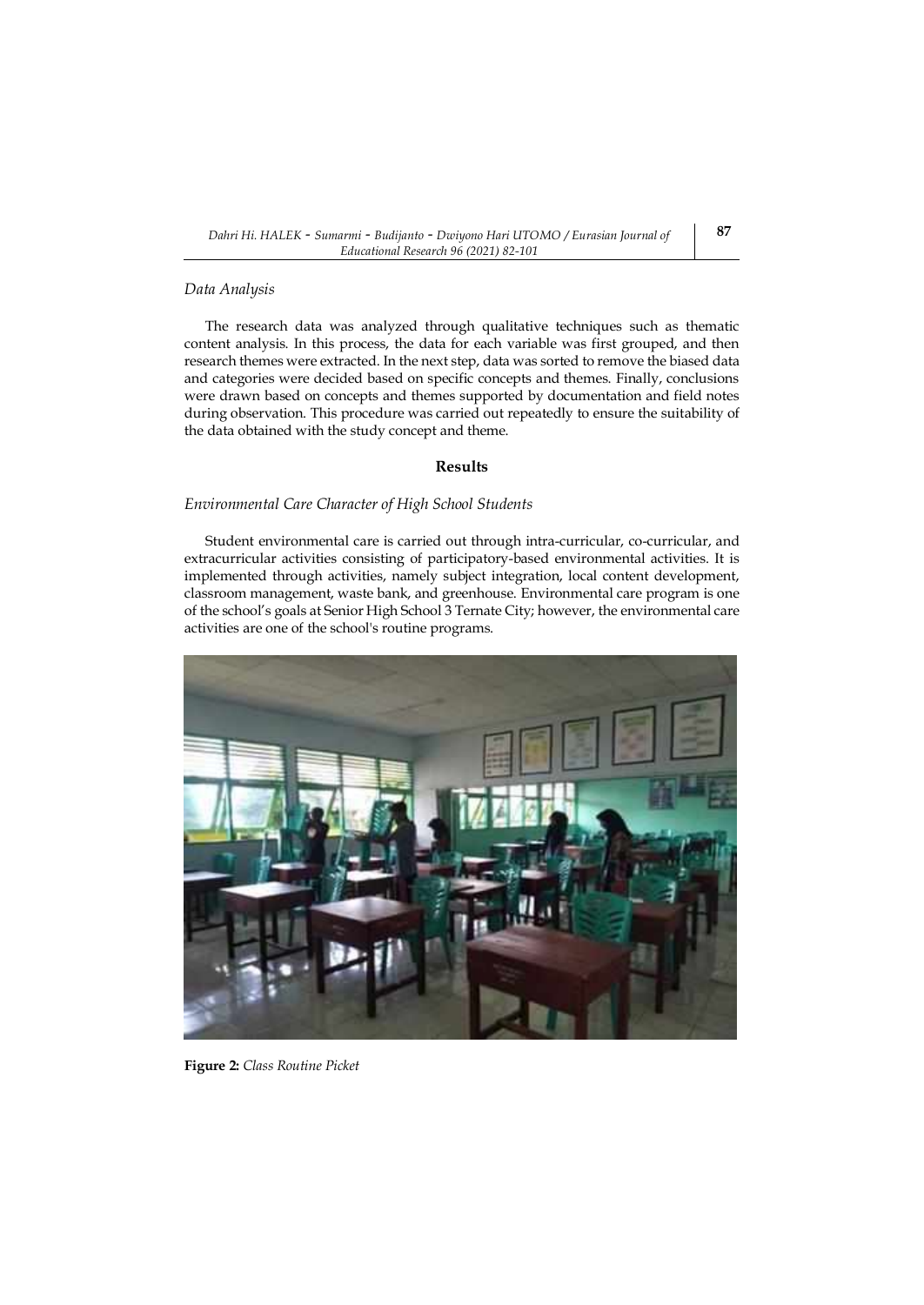#### *Data Analysis*

The research data was analyzed through qualitative techniques such as thematic content analysis. In this process, the data for each variable was first grouped, and then research themes were extracted. In the next step, data was sorted to remove the biased data and categories were decided based on specific concepts and themes. Finally, conclusions were drawn based on concepts and themes supported by documentation and field notes during observation. This procedure was carried out repeatedly to ensure the suitability of the data obtained with the study concept and theme.

# **Results**

### *Environmental Care Character of High School Students*

Student environmental care is carried out through intra-curricular, co-curricular, and extracurricular activities consisting of participatory-based environmental activities. It is implemented through activities, namely subject integration, local content development, classroom management, waste bank, and greenhouse. Environmental care program is one of the school's goals at Senior High School 3 Ternate City; however, the environmental care activities are one of the school's routine programs.



**Figure 2:** *Class Routine Picket*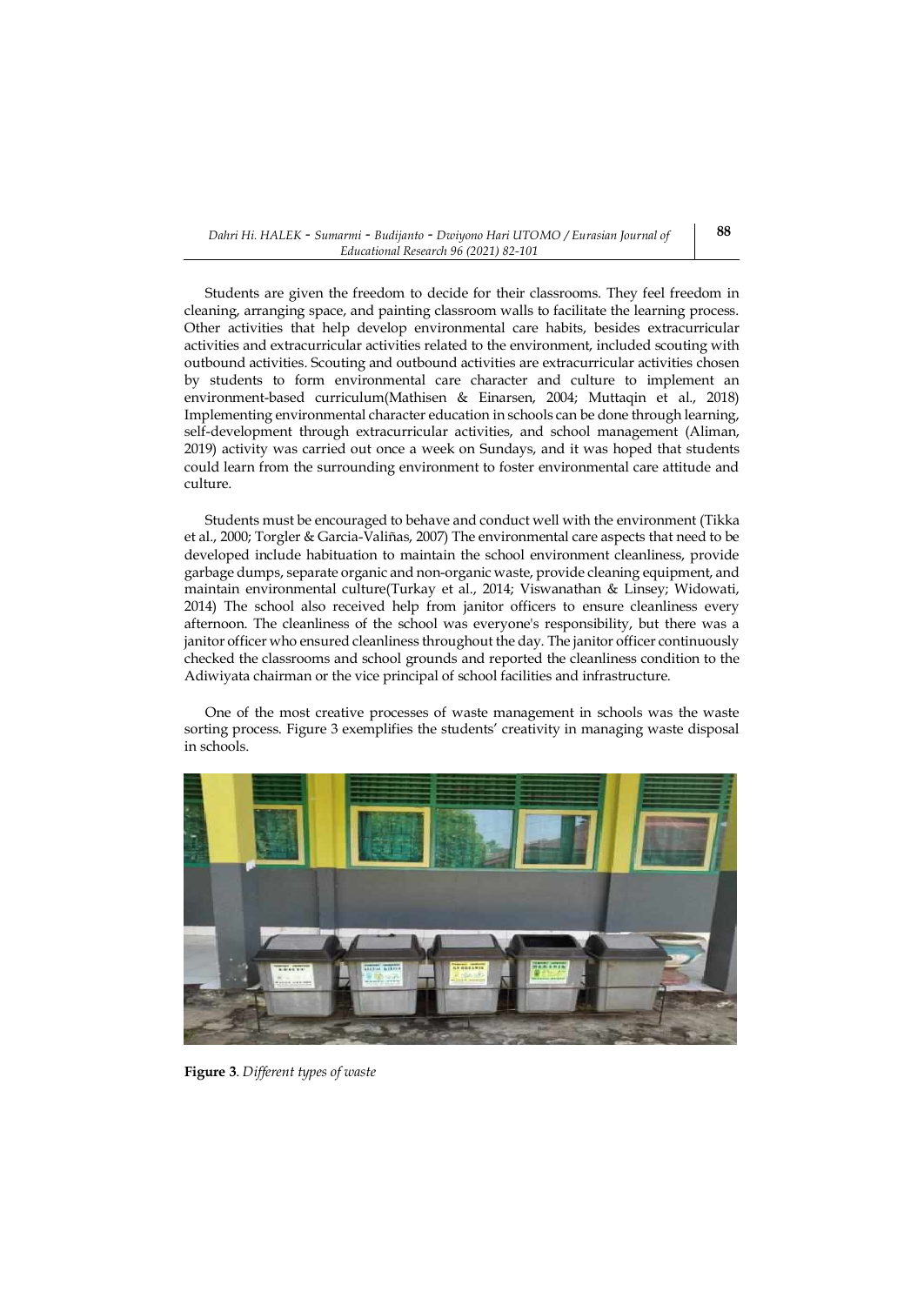Students are given the freedom to decide for their classrooms. They feel freedom in cleaning, arranging space, and painting classroom walls to facilitate the learning process. Other activities that help develop environmental care habits, besides extracurricular activities and extracurricular activities related to the environment, included scouting with outbound activities. Scouting and outbound activities are extracurricular activities chosen by students to form environmental care character and culture to implement an environment-based curriculum(Mathisen & Einarsen, 2004; Muttaqin et al., 2018) Implementing environmental character education in schools can be done through learning, self-development through extracurricular activities, and school management (Aliman, 2019) activity was carried out once a week on Sundays, and it was hoped that students could learn from the surrounding environment to foster environmental care attitude and culture.

Students must be encouraged to behave and conduct well with the environment (Tikka et al., 2000; Torgler & Garcia-Valiñas, 2007) The environmental care aspects that need to be developed include habituation to maintain the school environment cleanliness, provide garbage dumps, separate organic and non-organic waste, provide cleaning equipment, and maintain environmental culture(Turkay et al., 2014; Viswanathan & Linsey; Widowati, 2014) The school also received help from janitor officers to ensure cleanliness every afternoon. The cleanliness of the school was everyone's responsibility, but there was a janitor officer who ensured cleanliness throughout the day. The janitor officer continuously checked the classrooms and school grounds and reported the cleanliness condition to the Adiwiyata chairman or the vice principal of school facilities and infrastructure.

One of the most creative processes of waste management in schools was the waste sorting process. Figure 3 exemplifies the students' creativity in managing waste disposal in schools.



**Figure 3**. *Different types of waste*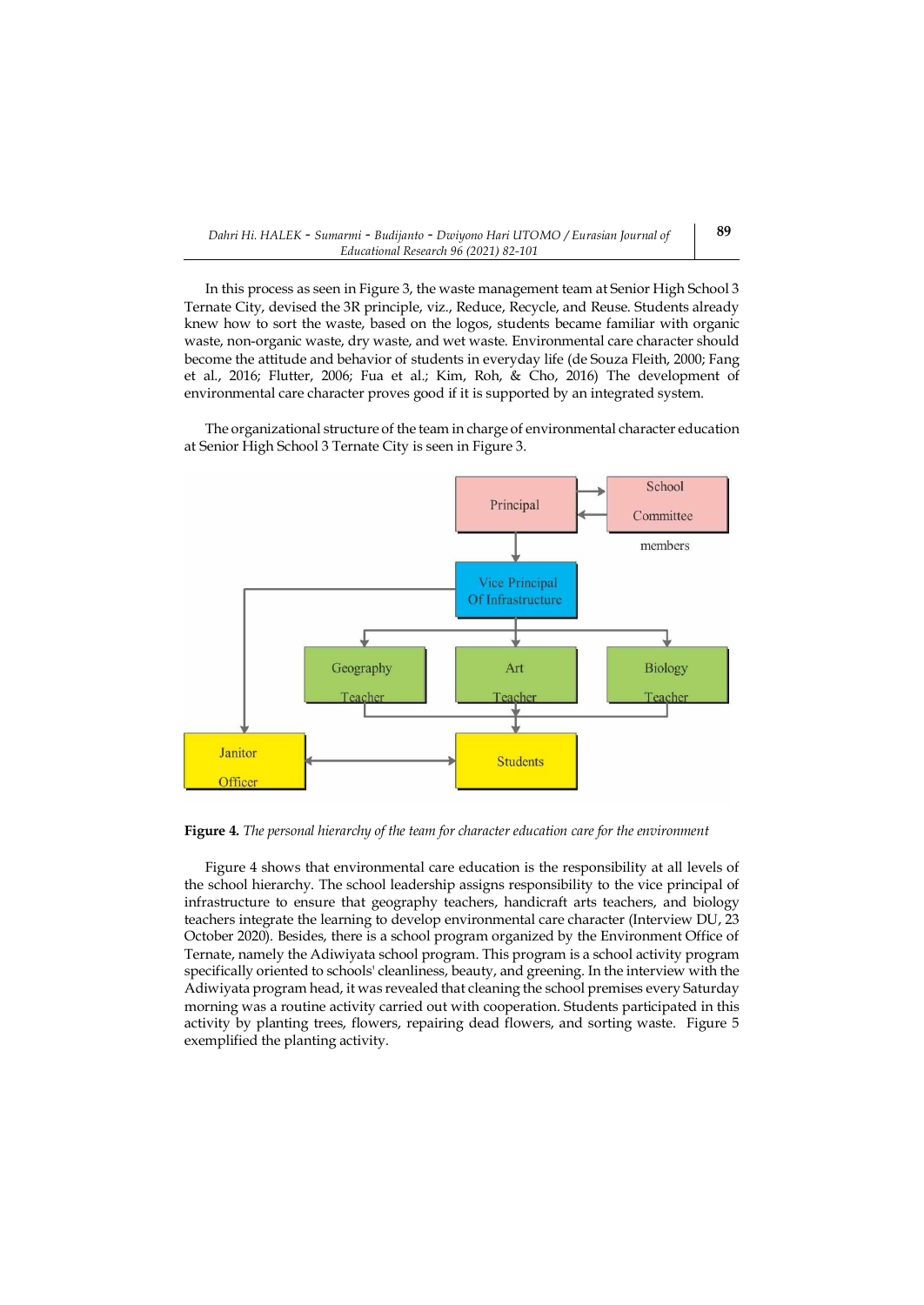In this process as seen in Figure 3, the waste management team at Senior High School 3 Ternate City, devised the 3R principle, viz., Reduce, Recycle, and Reuse. Students already knew how to sort the waste, based on the logos, students became familiar with organic waste, non-organic waste, dry waste, and wet waste. Environmental care character should become the attitude and behavior of students in everyday life (de Souza Fleith, 2000; Fang et al., 2016; Flutter, 2006; Fua et al.; Kim, Roh, & Cho, 2016) The development of environmental care character proves good if it is supported by an integrated system.

The organizational structure of the team in charge of environmental character education at Senior High School 3 Ternate City is seen in Figure 3.



**Figure 4.** *The personal hierarchy of the team for character education care for the environment*

Figure 4 shows that environmental care education is the responsibility at all levels of the school hierarchy. The school leadership assigns responsibility to the vice principal of infrastructure to ensure that geography teachers, handicraft arts teachers, and biology teachers integrate the learning to develop environmental care character (Interview DU, 23 October 2020). Besides, there is a school program organized by the Environment Office of Ternate, namely the Adiwiyata school program. This program is a school activity program specifically oriented to schools' cleanliness, beauty, and greening. In the interview with the Adiwiyata program head, it was revealed that cleaning the school premises every Saturday morning was a routine activity carried out with cooperation. Students participated in this activity by planting trees, flowers, repairing dead flowers, and sorting waste. Figure 5 exemplified the planting activity.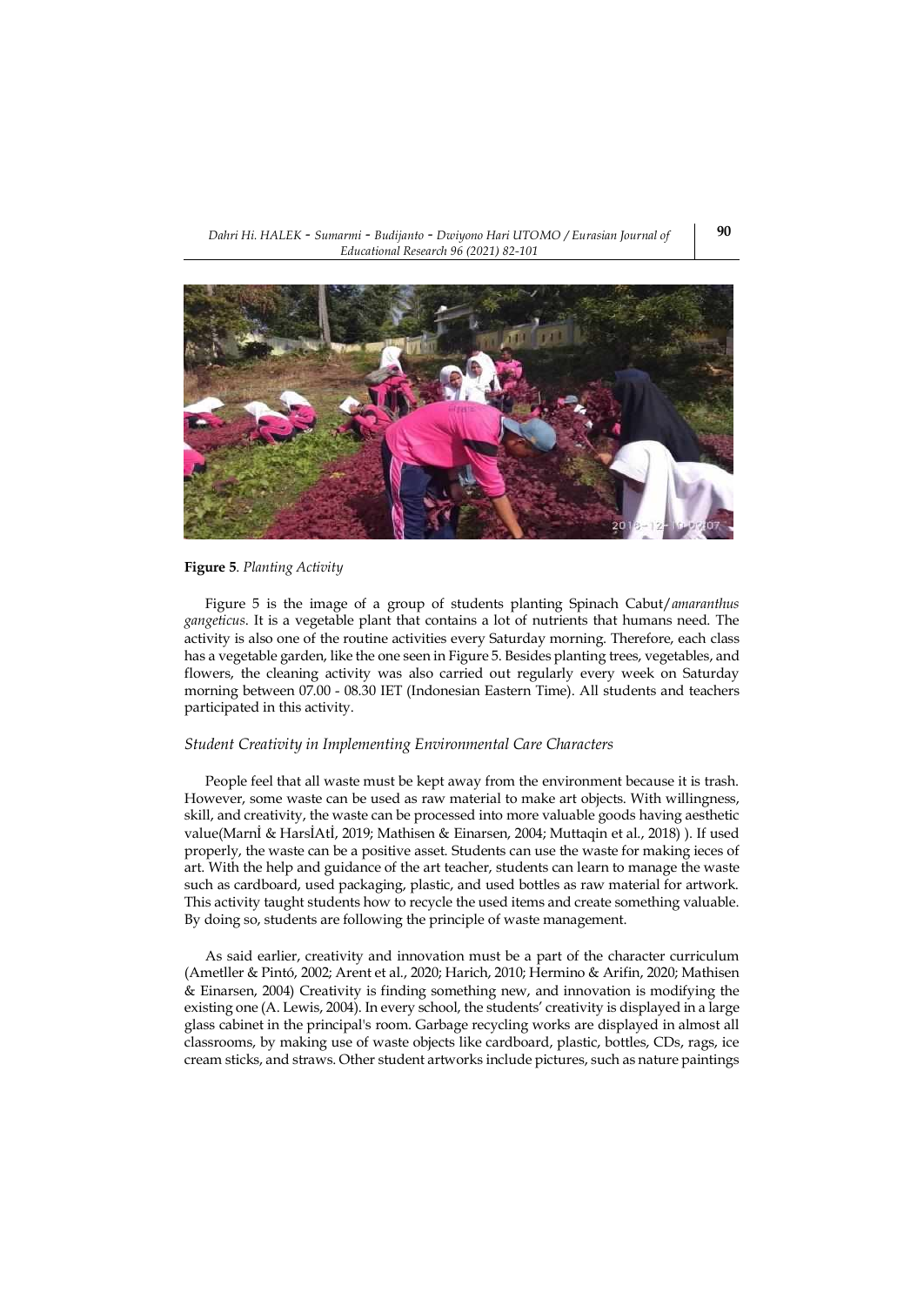#### *Dahri Hi. HALEK - Sumarmi - Budijanto - Dwiyono Hari UTOMO / Eurasian Journal of Educational Research 96 (2021) 82-101*



## **Figure 5**. *Planting Activity*

Figure 5 is the image of a group of students planting Spinach Cabut/*amaranthus gangeticus*. It is a vegetable plant that contains a lot of nutrients that humans need. The activity is also one of the routine activities every Saturday morning. Therefore, each class has a vegetable garden, like the one seen in Figure 5. Besides planting trees, vegetables, and flowers, the cleaning activity was also carried out regularly every week on Saturday morning between 07.00 - 08.30 IET (Indonesian Eastern Time). All students and teachers participated in this activity.

### *Student Creativity in Implementing Environmental Care Characters*

People feel that all waste must be kept away from the environment because it is trash. However, some waste can be used as raw material to make art objects. With willingness, skill, and creativity, the waste can be processed into more valuable goods having aesthetic value(Marnİ & HarsİAtİ, 2019; Mathisen & Einarsen, 2004; Muttaqin et al., 2018) ). If used properly, the waste can be a positive asset. Students can use the waste for making ieces of art. With the help and guidance of the art teacher, students can learn to manage the waste such as cardboard, used packaging, plastic, and used bottles as raw material for artwork. This activity taught students how to recycle the used items and create something valuable. By doing so, students are following the principle of waste management.

As said earlier, creativity and innovation must be a part of the character curriculum (Ametller & Pintó, 2002; Arent et al., 2020; Harich, 2010; Hermino & Arifin, 2020; Mathisen & Einarsen, 2004) Creativity is finding something new, and innovation is modifying the existing one (A. Lewis, 2004). In every school, the students' creativity is displayed in a large glass cabinet in the principal's room. Garbage recycling works are displayed in almost all classrooms, by making use of waste objects like cardboard, plastic, bottles, CDs, rags, ice cream sticks, and straws. Other student artworks include pictures, such as nature paintings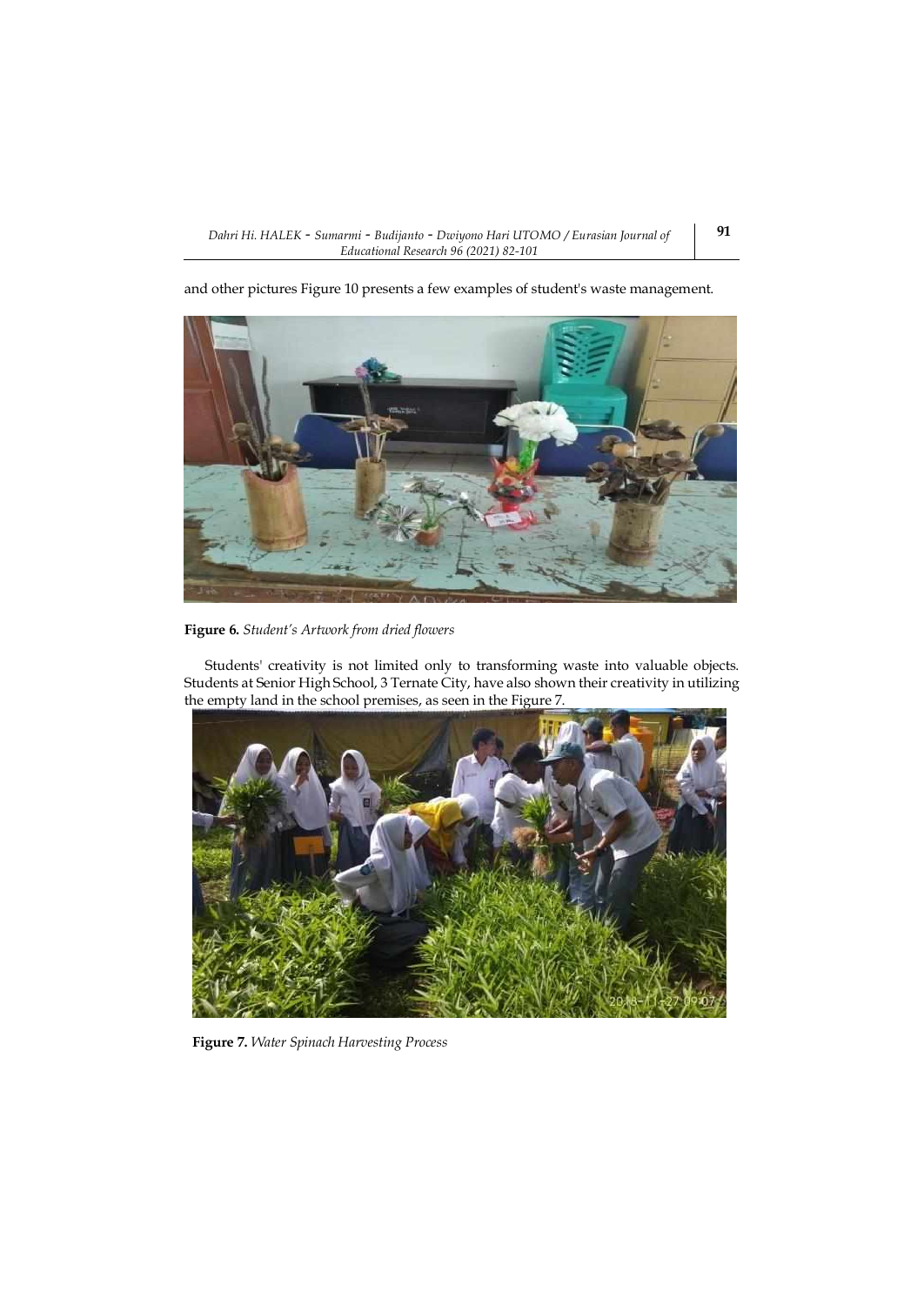



**Figure 6.** *Student's Artwork from dried flowers*

Students' creativity is not limited only to transforming waste into valuable objects. Students at Senior High School, 3 Ternate City, have also shown their creativity in utilizing the empty land in the school premises, as seen in the Figure 7.



**Figure 7.** *Water Spinach Harvesting Process*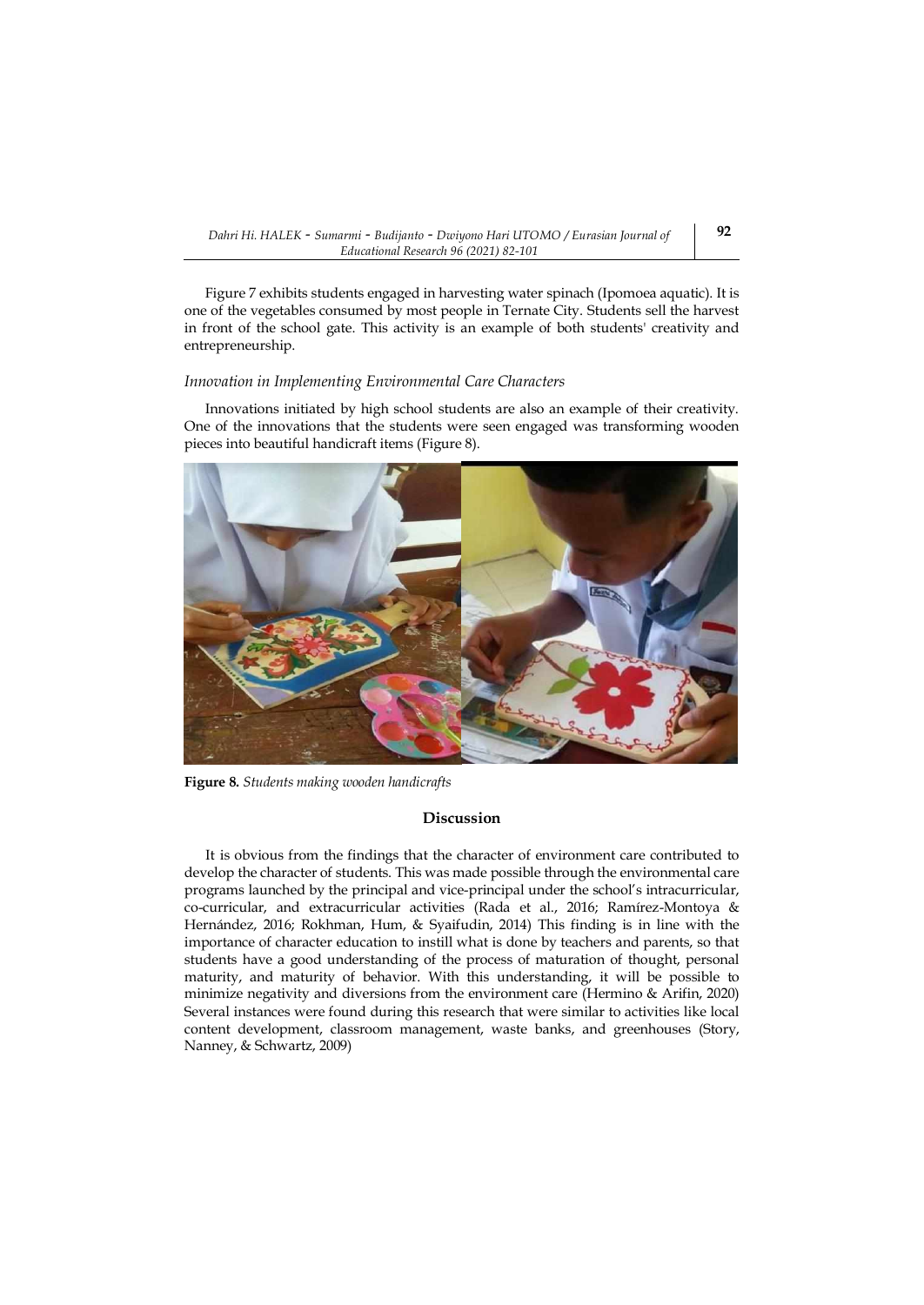Figure 7 exhibits students engaged in harvesting water spinach (Ipomoea aquatic). It is one of the vegetables consumed by most people in Ternate City. Students sell the harvest in front of the school gate. This activity is an example of both students' creativity and entrepreneurship.

#### *Innovation in Implementing Environmental Care Characters*

Innovations initiated by high school students are also an example of their creativity. One of the innovations that the students were seen engaged was transforming wooden pieces into beautiful handicraft items (Figure 8).



**Figure 8.** *Students making wooden handicrafts*

#### **Discussion**

It is obvious from the findings that the character of environment care contributed to develop the character of students. This was made possible through the environmental care programs launched by the principal and vice-principal under the school's intracurricular, co-curricular, and extracurricular activities (Rada et al., 2016; Ramírez-Montoya & Hernández, 2016; Rokhman, Hum, & Syaifudin, 2014) This finding is in line with the importance of character education to instill what is done by teachers and parents, so that students have a good understanding of the process of maturation of thought, personal maturity, and maturity of behavior. With this understanding, it will be possible to minimize negativity and diversions from the environment care (Hermino & Arifin, 2020) Several instances were found during this research that were similar to activities like local content development, classroom management, waste banks, and greenhouses (Story, Nanney, & Schwartz, 2009)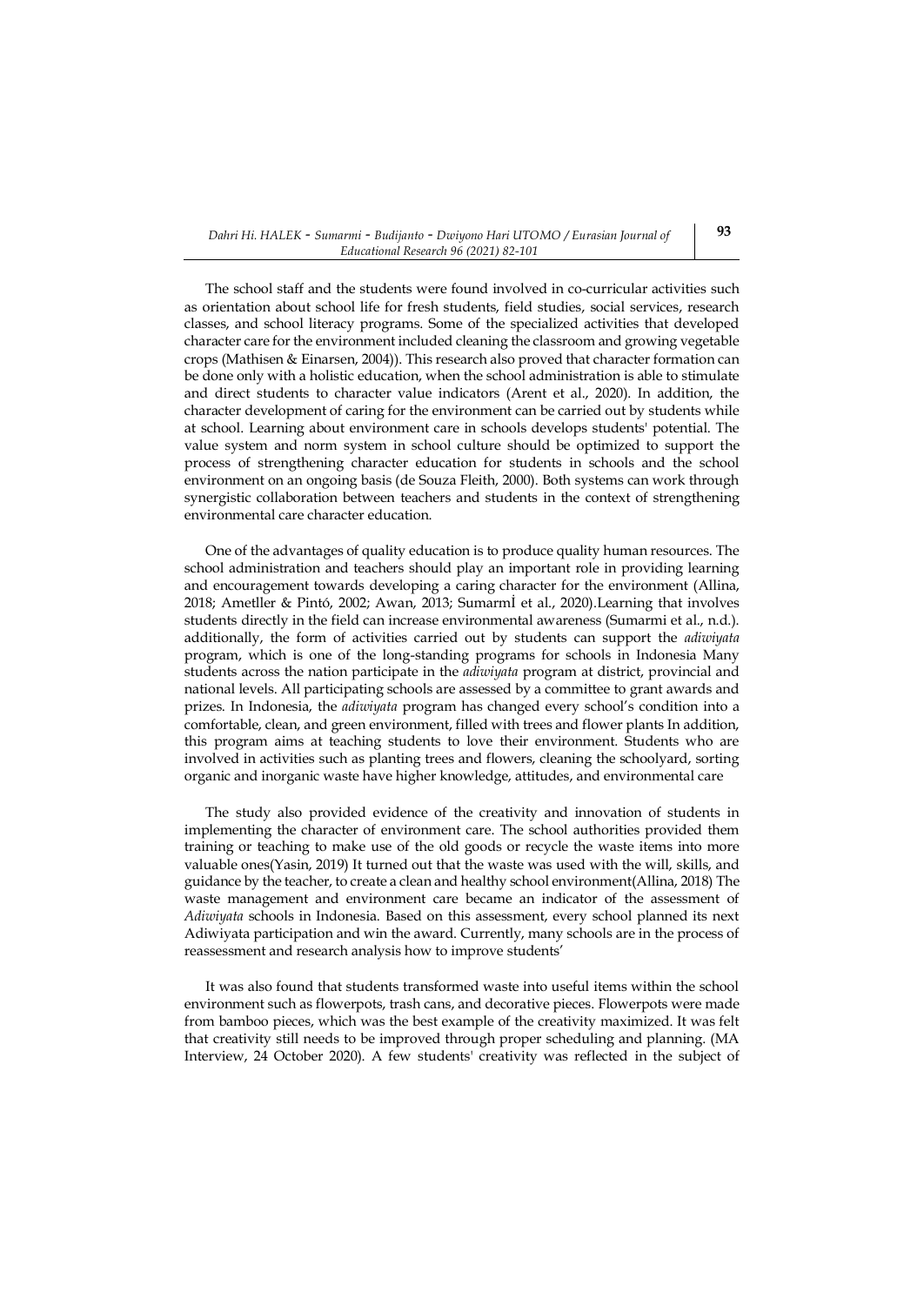The school staff and the students were found involved in co-curricular activities such as orientation about school life for fresh students, field studies, social services, research classes, and school literacy programs. Some of the specialized activities that developed character care for the environment included cleaning the classroom and growing vegetable crops (Mathisen & Einarsen, 2004)). This research also proved that character formation can be done only with a holistic education, when the school administration is able to stimulate and direct students to character value indicators (Arent et al., 2020). In addition, the character development of caring for the environment can be carried out by students while at school. Learning about environment care in schools develops students' potential. The value system and norm system in school culture should be optimized to support the process of strengthening character education for students in schools and the school environment on an ongoing basis (de Souza Fleith, 2000). Both systems can work through synergistic collaboration between teachers and students in the context of strengthening environmental care character education.

One of the advantages of quality education is to produce quality human resources. The school administration and teachers should play an important role in providing learning and encouragement towards developing a caring character for the environment (Allina, 2018; Ametller & Pintó, 2002; Awan, 2013; Sumarmİ et al., 2020).Learning that involves students directly in the field can increase environmental awareness (Sumarmi et al., n.d.). additionally, the form of activities carried out by students can support the *adiwiyata* program, which is one of the long-standing programs for schools in Indonesia Many students across the nation participate in the *adiwiyata* program at district, provincial and national levels. All participating schools are assessed by a committee to grant awards and prizes. In Indonesia, the *adiwiyata* program has changed every school's condition into a comfortable, clean, and green environment, filled with trees and flower plants In addition, this program aims at teaching students to love their environment. Students who are involved in activities such as planting trees and flowers, cleaning the schoolyard, sorting organic and inorganic waste have higher knowledge, attitudes, and environmental care

The study also provided evidence of the creativity and innovation of students in implementing the character of environment care. The school authorities provided them training or teaching to make use of the old goods or recycle the waste items into more valuable ones(Yasin, 2019) It turned out that the waste was used with the will, skills, and guidance by the teacher, to create a clean and healthy school environment(Allina, 2018) The waste management and environment care became an indicator of the assessment of *Adiwiyata* schools in Indonesia. Based on this assessment, every school planned its next Adiwiyata participation and win the award. Currently, many schools are in the process of reassessment and research analysis how to improve students'

It was also found that students transformed waste into useful items within the school environment such as flowerpots, trash cans, and decorative pieces. Flowerpots were made from bamboo pieces, which was the best example of the creativity maximized. It was felt that creativity still needs to be improved through proper scheduling and planning. (MA Interview, 24 October 2020). A few students' creativity was reflected in the subject of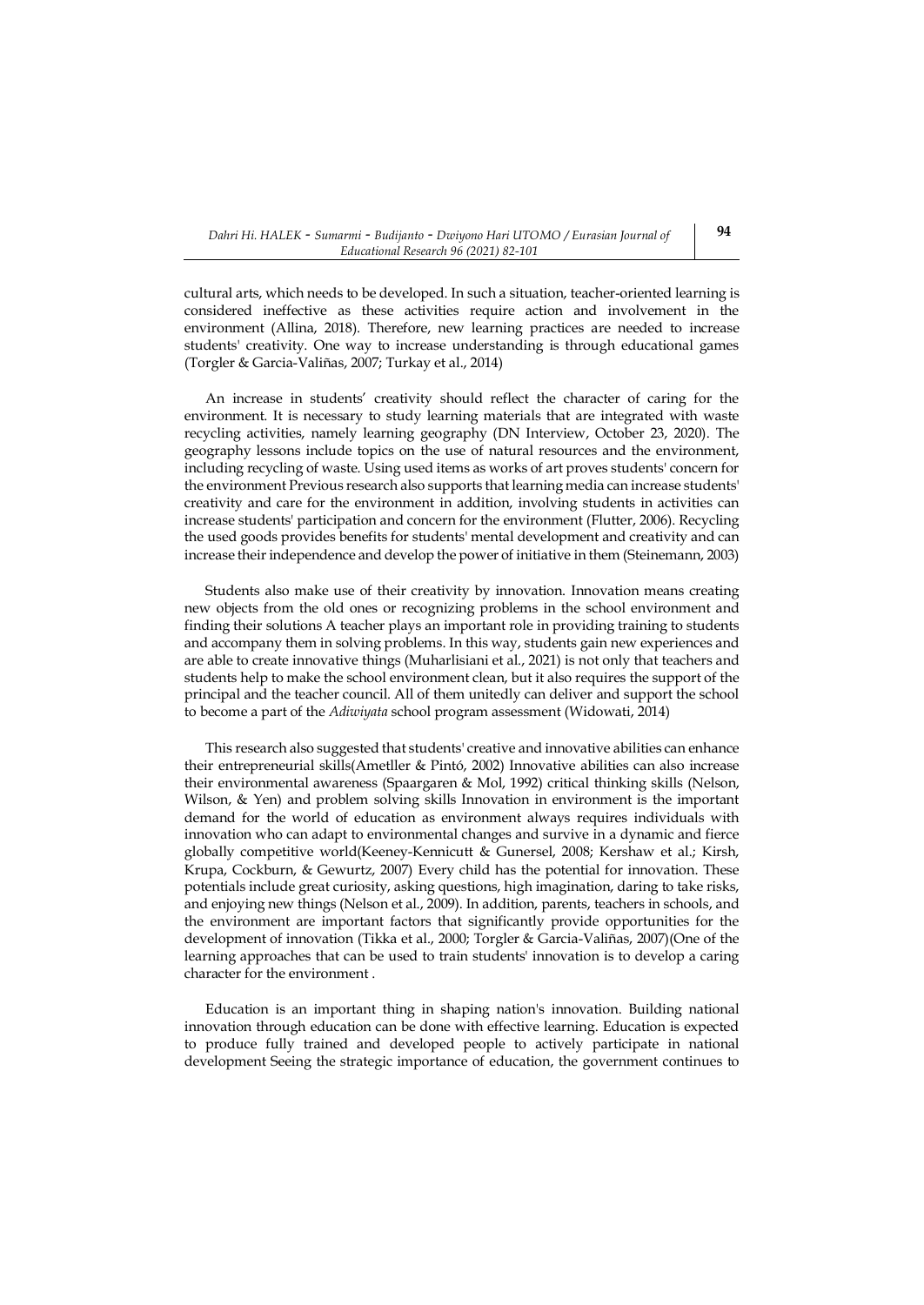cultural arts, which needs to be developed. In such a situation, teacher-oriented learning is considered ineffective as these activities require action and involvement in the environment (Allina, 2018). Therefore, new learning practices are needed to increase students' creativity. One way to increase understanding is through educational games (Torgler & Garcia-Valiñas, 2007; Turkay et al., 2014)

An increase in students' creativity should reflect the character of caring for the environment. It is necessary to study learning materials that are integrated with waste recycling activities, namely learning geography (DN Interview, October 23, 2020). The geography lessons include topics on the use of natural resources and the environment, including recycling of waste. Using used items as works of art proves students' concern for the environment Previous research also supports that learning media can increase students' creativity and care for the environment in addition, involving students in activities can increase students' participation and concern for the environment (Flutter, 2006). Recycling the used goods provides benefits for students' mental development and creativity and can increase their independence and develop the power of initiative in them (Steinemann, 2003)

Students also make use of their creativity by innovation. Innovation means creating new objects from the old ones or recognizing problems in the school environment and finding their solutions A teacher plays an important role in providing training to students and accompany them in solving problems. In this way, students gain new experiences and are able to create innovative things (Muharlisiani et al., 2021) is not only that teachers and students help to make the school environment clean, but it also requires the support of the principal and the teacher council. All of them unitedly can deliver and support the school to become a part of the *Adiwiyata* school program assessment (Widowati, 2014)

This research also suggested that students' creative and innovative abilities can enhance their entrepreneurial skills(Ametller & Pintó, 2002) Innovative abilities can also increase their environmental awareness (Spaargaren & Mol, 1992) critical thinking skills (Nelson, Wilson, & Yen) and problem solving skills Innovation in environment is the important demand for the world of education as environment always requires individuals with innovation who can adapt to environmental changes and survive in a dynamic and fierce globally competitive world(Keeney-Kennicutt & Gunersel, 2008; Kershaw et al.; Kirsh, Krupa, Cockburn, & Gewurtz, 2007) Every child has the potential for innovation. These potentials include great curiosity, asking questions, high imagination, daring to take risks, and enjoying new things (Nelson et al., 2009). In addition, parents, teachers in schools, and the environment are important factors that significantly provide opportunities for the development of innovation (Tikka et al., 2000; Torgler & Garcia-Valiñas, 2007)(One of the learning approaches that can be used to train students' innovation is to develop a caring character for the environment .

Education is an important thing in shaping nation's innovation. Building national innovation through education can be done with effective learning. Education is expected to produce fully trained and developed people to actively participate in national development Seeing the strategic importance of education, the government continues to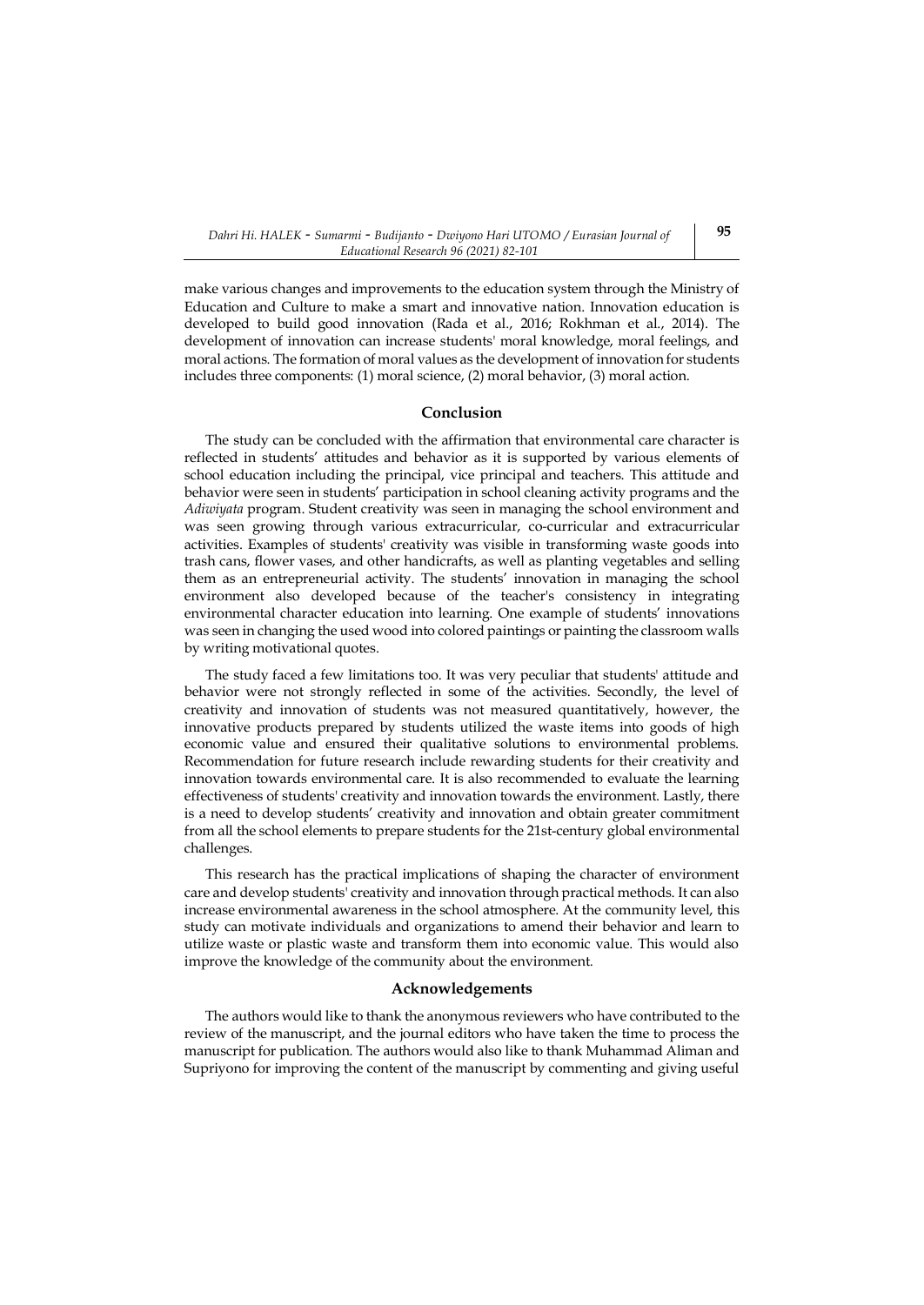make various changes and improvements to the education system through the Ministry of Education and Culture to make a smart and innovative nation. Innovation education is developed to build good innovation (Rada et al., 2016; Rokhman et al., 2014). The development of innovation can increase students' moral knowledge, moral feelings, and moral actions. The formation of moral values as the development of innovation for students includes three components: (1) moral science, (2) moral behavior, (3) moral action.

#### **Conclusion**

The study can be concluded with the affirmation that environmental care character is reflected in students' attitudes and behavior as it is supported by various elements of school education including the principal, vice principal and teachers. This attitude and behavior were seen in students' participation in school cleaning activity programs and the *Adiwiyata* program. Student creativity was seen in managing the school environment and was seen growing through various extracurricular, co-curricular and extracurricular activities. Examples of students' creativity was visible in transforming waste goods into trash cans, flower vases, and other handicrafts, as well as planting vegetables and selling them as an entrepreneurial activity. The students' innovation in managing the school environment also developed because of the teacher's consistency in integrating environmental character education into learning. One example of students' innovations was seen in changing the used wood into colored paintings or painting the classroom walls by writing motivational quotes.

The study faced a few limitations too. It was very peculiar that students' attitude and behavior were not strongly reflected in some of the activities. Secondly, the level of creativity and innovation of students was not measured quantitatively, however, the innovative products prepared by students utilized the waste items into goods of high economic value and ensured their qualitative solutions to environmental problems. Recommendation for future research include rewarding students for their creativity and innovation towards environmental care. It is also recommended to evaluate the learning effectiveness of students' creativity and innovation towards the environment. Lastly, there is a need to develop students' creativity and innovation and obtain greater commitment from all the school elements to prepare students for the 21st-century global environmental challenges.

This research has the practical implications of shaping the character of environment care and develop students' creativity and innovation through practical methods. It can also increase environmental awareness in the school atmosphere. At the community level, this study can motivate individuals and organizations to amend their behavior and learn to utilize waste or plastic waste and transform them into economic value. This would also improve the knowledge of the community about the environment.

#### **Acknowledgements**

The authors would like to thank the anonymous reviewers who have contributed to the review of the manuscript, and the journal editors who have taken the time to process the manuscript for publication. The authors would also like to thank Muhammad Aliman and Supriyono for improving the content of the manuscript by commenting and giving useful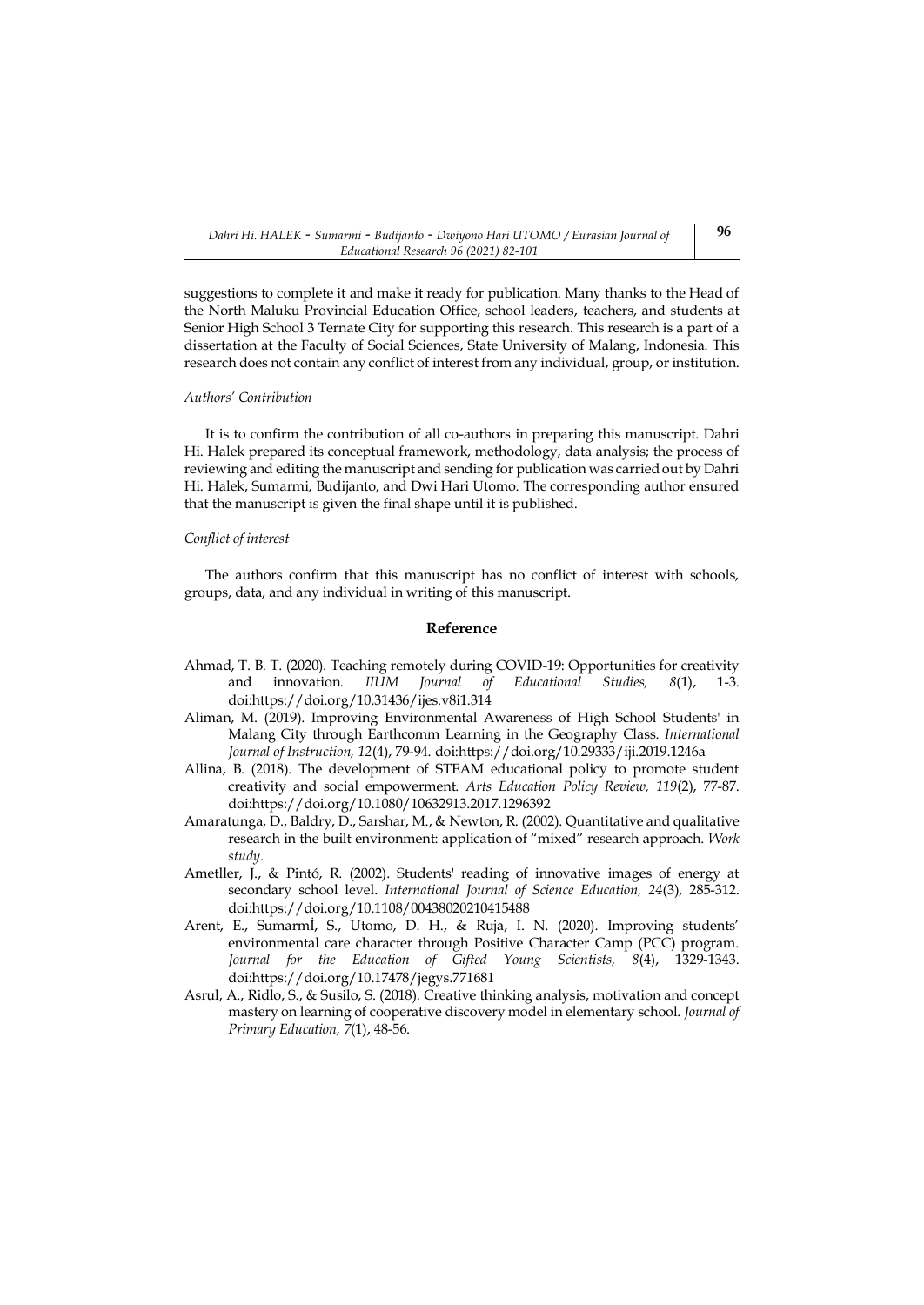suggestions to complete it and make it ready for publication. Many thanks to the Head of the North Maluku Provincial Education Office, school leaders, teachers, and students at Senior High School 3 Ternate City for supporting this research. This research is a part of a dissertation at the Faculty of Social Sciences, State University of Malang, Indonesia. This research does not contain any conflict of interest from any individual, group, or institution.

#### *Authors' Contribution*

It is to confirm the contribution of all co-authors in preparing this manuscript. Dahri Hi. Halek prepared its conceptual framework, methodology, data analysis; the process of reviewing and editing the manuscript and sending for publication was carried out by Dahri Hi. Halek, Sumarmi, Budijanto, and Dwi Hari Utomo. The corresponding author ensured that the manuscript is given the final shape until it is published.

#### *Conflict of interest*

The authors confirm that this manuscript has no conflict of interest with schools, groups, data, and any individual in writing of this manuscript.

#### **Reference**

- Ahmad, T. B. T. (2020). Teaching remotely during COVID-19: Opportunities for creativity and innovation. *IIUM Journal of Educational Studies*, 8(1), do[i:https://doi.org/10.31436/ijes.v8i1.314](https://doi.org/10.31436/ijes.v8i1.314)
- Aliman, M. (2019). Improving Environmental Awareness of High School Students' in Malang City through Earthcomm Learning in the Geography Class. *International Journal of Instruction, 12*(4), 79-94. do[i:https://doi.org/10.29333/iji.2019.1246a](https://doi.org/10.29333/iji.2019.1246a)
- Allina, B. (2018). The development of STEAM educational policy to promote student creativity and social empowerment. *Arts Education Policy Review, 119*(2), 77-87. do[i:https://doi.org/10.1080/10632913.2017.1296392](https://doi.org/10.1080/10632913.2017.1296392)
- Amaratunga, D., Baldry, D., Sarshar, M., & Newton, R. (2002). Quantitative and qualitative research in the built environment: application of "mixed" research approach. *Work study*.
- Ametller, J., & Pintó, R. (2002). Students' reading of innovative images of energy at secondary school level. *International Journal of Science Education, 24*(3), 285-312. do[i:https://doi.org/10.1108/00438020210415488](https://doi.org/10.1108/00438020210415488)
- Arent, E., Sumarmİ, S., Utomo, D. H., & Ruja, I. N. (2020). Improving students' environmental care character through Positive Character Camp (PCC) program. *Journal for the Education of Gifted Young Scientists, 8*(4), 1329-1343. do[i:https://doi.org/10.17478/jegys.771681](https://doi.org/10.17478/jegys.771681)
- Asrul, A., Ridlo, S., & Susilo, S. (2018). Creative thinking analysis, motivation and concept mastery on learning of cooperative discovery model in elementary school. *Journal of Primary Education, 7*(1), 48-56.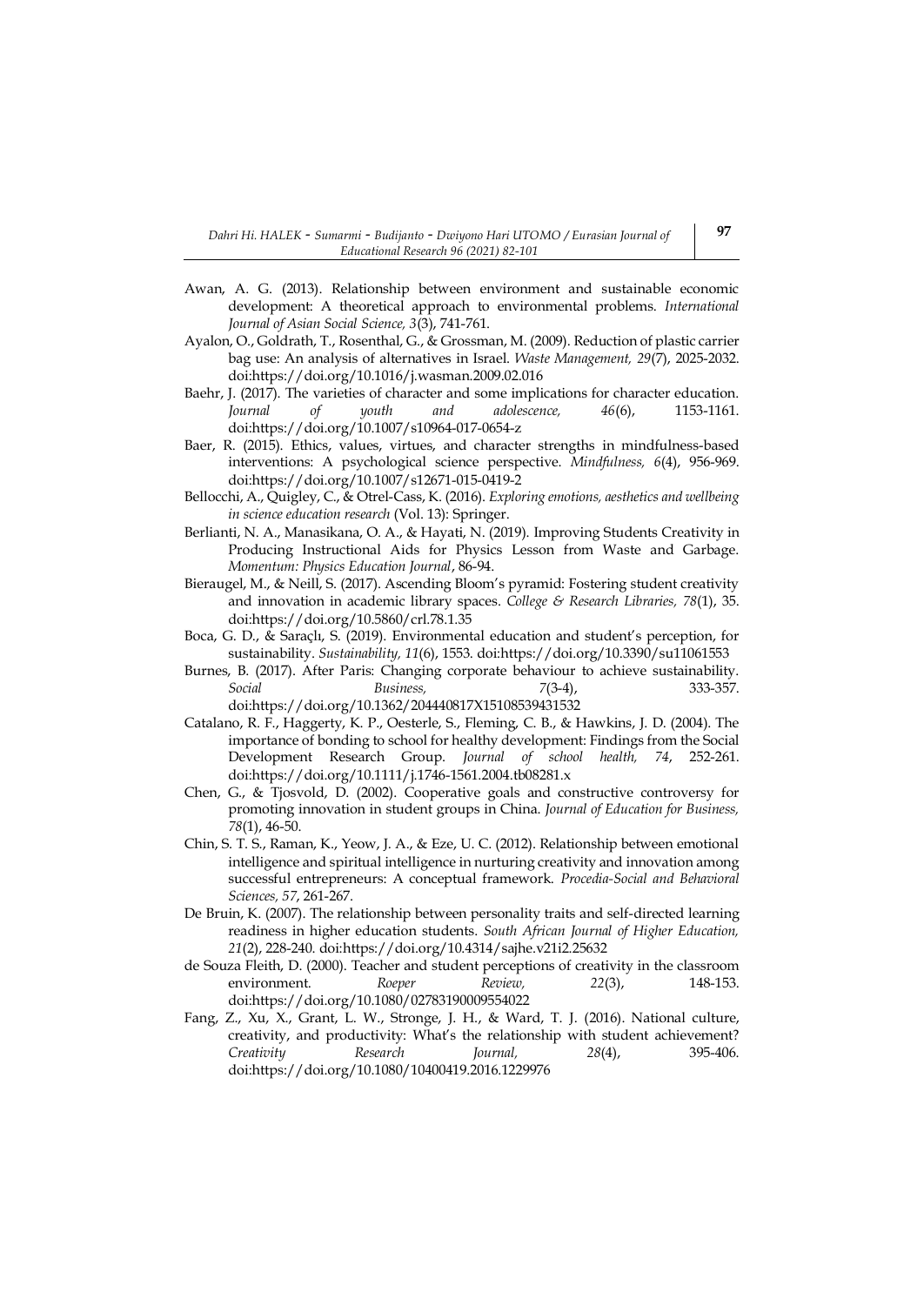- Awan, A. G. (2013). Relationship between environment and sustainable economic development: A theoretical approach to environmental problems. *International Journal of Asian Social Science, 3*(3), 741-761.
- Ayalon, O., Goldrath, T., Rosenthal, G., & Grossman, M. (2009). Reduction of plastic carrier bag use: An analysis of alternatives in Israel. *Waste Management, 29*(7), 2025-2032. do[i:https://doi.org/10.1016/j.wasman.2009.02.016](https://doi.org/10.1016/j.wasman.2009.02.016)
- Baehr, J. (2017). The varieties of character and some implications for character education.<br> *Iournal* of *uouth* and *adolescence*, 46(6). 1153-1161. *Journal* of *youth* and adolescence, 46(6), do[i:https://doi.org/10.1007/s10964-017-0654-z](https://doi.org/10.1007/s10964-017-0654-z)
- Baer, R. (2015). Ethics, values, virtues, and character strengths in mindfulness-based interventions: A psychological science perspective. *Mindfulness, 6*(4), 956-969. do[i:https://doi.org/10.1007/s12671-015-0419-2](https://doi.org/10.1007/s12671-015-0419-2)
- Bellocchi, A., Quigley, C., & Otrel-Cass, K. (2016). *Exploring emotions, aesthetics and wellbeing in science education research* (Vol. 13): Springer.
- Berlianti, N. A., Manasikana, O. A., & Hayati, N. (2019). Improving Students Creativity in Producing Instructional Aids for Physics Lesson from Waste and Garbage. *Momentum: Physics Education Journal*, 86-94.
- Bieraugel, M., & Neill, S. (2017). Ascending Bloom's pyramid: Fostering student creativity and innovation in academic library spaces. *College & Research Libraries, 78*(1), 35. do[i:https://doi.org/10.5860/crl.78.1.35](https://doi.org/10.5860/crl.78.1.35)
- Boca, G. D., & Saraçlı, S. (2019). Environmental education and student's perception, for sustainability. *Sustainability, 11*(6), 1553. do[i:https://doi.org/10.3390/su11061553](https://doi.org/10.3390/su11061553)
- Burnes, B. (2017). After Paris: Changing corporate behaviour to achieve sustainability. *Social Business, 7*(3-4), 333-357. do[i:https://doi.org/10.1362/204440817X15108539431532](https://doi.org/10.1362/204440817X15108539431532)
- Catalano, R. F., Haggerty, K. P., Oesterle, S., Fleming, C. B., & Hawkins, J. D. (2004). The importance of bonding to school for healthy development: Findings from the Social Development Research Group. *Journal of school health, 74*, 252-261. do[i:https://doi.org/10.1111/j.1746-1561.2004.tb08281.x](https://doi.org/10.1111/j.1746-1561.2004.tb08281.x)
- Chen, G., & Tjosvold, D. (2002). Cooperative goals and constructive controversy for promoting innovation in student groups in China. *Journal of Education for Business, 78*(1), 46-50.
- Chin, S. T. S., Raman, K., Yeow, J. A., & Eze, U. C. (2012). Relationship between emotional intelligence and spiritual intelligence in nurturing creativity and innovation among successful entrepreneurs: A conceptual framework. *Procedia-Social and Behavioral Sciences, 57*, 261-267.
- De Bruin, K. (2007). The relationship between personality traits and self-directed learning readiness in higher education students. *South African Journal of Higher Education, 21*(2), 228-240. doi[:https://doi.org/10.4314/sajhe.v21i2.25632](https://doi.org/10.4314/sajhe.v21i2.25632)
- de Souza Fleith, D. (2000). Teacher and student perceptions of creativity in the classroom environment. *Roeper Review, 22*(3), 148-153. do[i:https://doi.org/10.1080/02783190009554022](https://doi.org/10.1080/02783190009554022)
- Fang, Z., Xu, X., Grant, L. W., Stronge, J. H., & Ward, T. J. (2016). National culture, creativity, and productivity: What's the relationship with student achievement? *Creativity Research Journal, 28*(4), 395-406. do[i:https://doi.org/10.1080/10400419.2016.1229976](https://doi.org/10.1080/10400419.2016.1229976)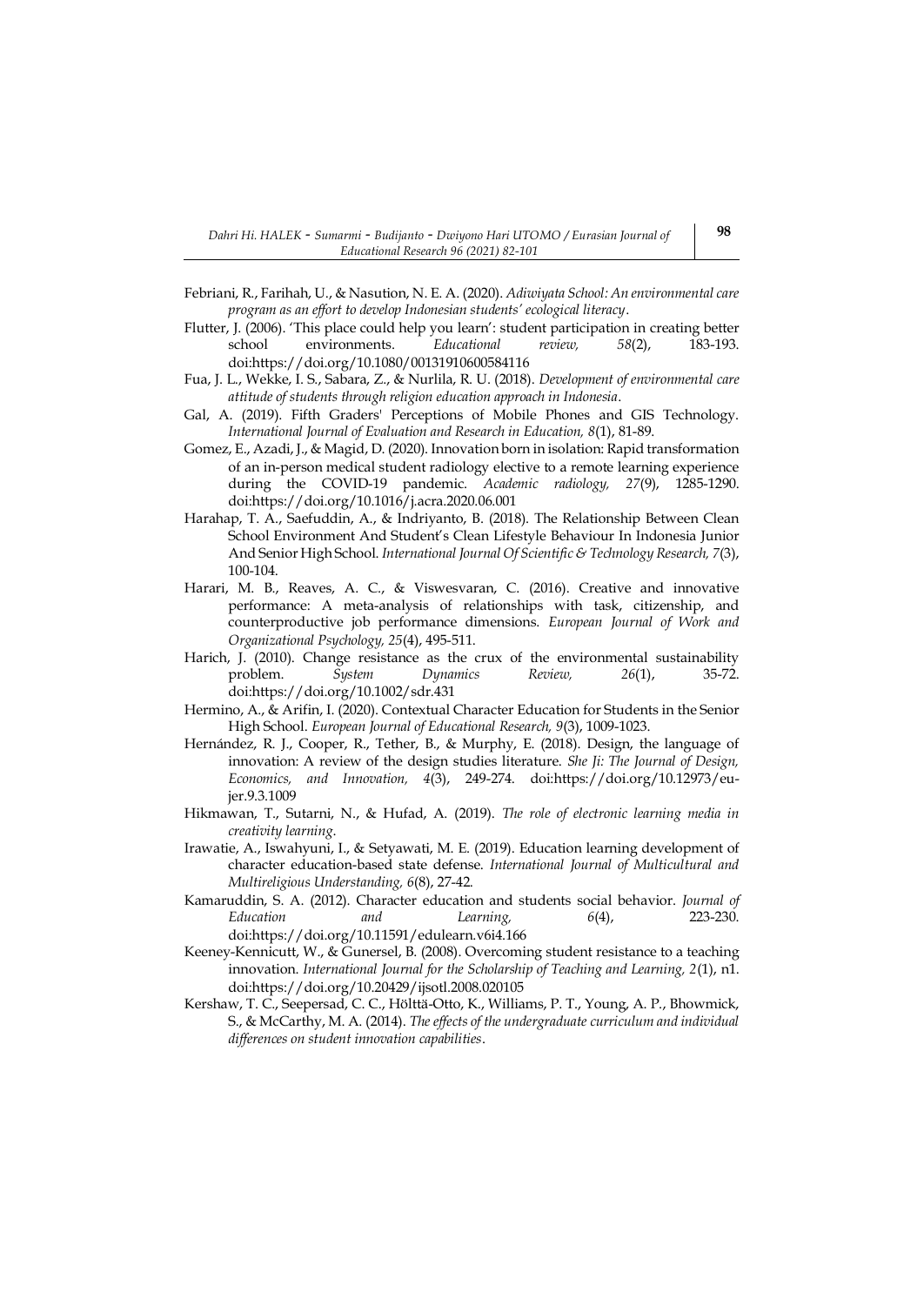- Febriani, R., Farihah, U., & Nasution, N. E. A. (2020). *Adiwiyata School: An environmental care program as an effort to develop Indonesian students' ecological literacy*.
- Flutter, J. (2006). 'This place could help you learn': student participation in creating better school environments. *Educational review, 58*(2), 183-193. do[i:https://doi.org/10.1080/00131910600584116](https://doi.org/10.1080/00131910600584116)
- Fua, J. L., Wekke, I. S., Sabara, Z., & Nurlila, R. U. (2018). *Development of environmental care attitude of students through religion education approach in Indonesia*.
- Gal, A. (2019). Fifth Graders' Perceptions of Mobile Phones and GIS Technology. *International Journal of Evaluation and Research in Education, 8*(1), 81-89.
- Gomez, E., Azadi, J., & Magid, D. (2020). Innovation born in isolation: Rapid transformation of an in-person medical student radiology elective to a remote learning experience during the COVID-19 pandemic. *Academic radiology, 27*(9), 1285-1290. do[i:https://doi.org/10.1016/j.acra.2020.06.001](https://doi.org/10.1016/j.acra.2020.06.001)
- Harahap, T. A., Saefuddin, A., & Indriyanto, B. (2018). The Relationship Between Clean School Environment And Student's Clean Lifestyle Behaviour In Indonesia Junior And Senior High School. *International Journal Of Scientific & Technology Research, 7*(3), 100-104.
- Harari, M. B., Reaves, A. C., & Viswesvaran, C. (2016). Creative and innovative performance: A meta-analysis of relationships with task, citizenship, and counterproductive job performance dimensions. *European Journal of Work and Organizational Psychology, 25*(4), 495-511.
- Harich, J. (2010). Change resistance as the crux of the environmental sustainability problem. *System Dynamics Review, 26*(1), 35-72. do[i:https://doi.org/10.1002/sdr.431](https://doi.org/10.1002/sdr.431)
- Hermino, A., & Arifin, I. (2020). Contextual Character Education for Students in the Senior High School. *European Journal of Educational Research, 9*(3), 1009-1023.
- Hernández, R. J., Cooper, R., Tether, B., & Murphy, E. (2018). Design, the language of innovation: A review of the design studies literature. *She Ji: The Journal of Design, Economics, and Innovation, 4*(3), 249-274. do[i:https://doi.org/10.12973/eu](https://doi.org/10.12973/eu-jer.9.3.1009)[jer.9.3.1009](https://doi.org/10.12973/eu-jer.9.3.1009)
- Hikmawan, T., Sutarni, N., & Hufad, A. (2019). *The role of electronic learning media in creativity learning*.
- Irawatie, A., Iswahyuni, I., & Setyawati, M. E. (2019). Education learning development of character education-based state defense. *International Journal of Multicultural and Multireligious Understanding, 6*(8), 27-42.
- Kamaruddin, S. A. (2012). Character education and students social behavior. *Journal of Education and Learning, 6*(4), 223-230. do[i:https://doi.org/10.11591/edulearn.v6i4.166](https://doi.org/10.11591/edulearn.v6i4.166)
- Keeney-Kennicutt, W., & Gunersel, B. (2008). Overcoming student resistance to a teaching innovation. *International Journal for the Scholarship of Teaching and Learning, 2*(1), n1. do[i:https://doi.org/10.20429/ijsotl.2008.020105](https://doi.org/10.20429/ijsotl.2008.020105)
- Kershaw, T. C., Seepersad, C. C., Hölttä-Otto, K., Williams, P. T., Young, A. P., Bhowmick, S., & McCarthy, M. A. (2014). *The effects of the undergraduate curriculum and individual differences on student innovation capabilities*.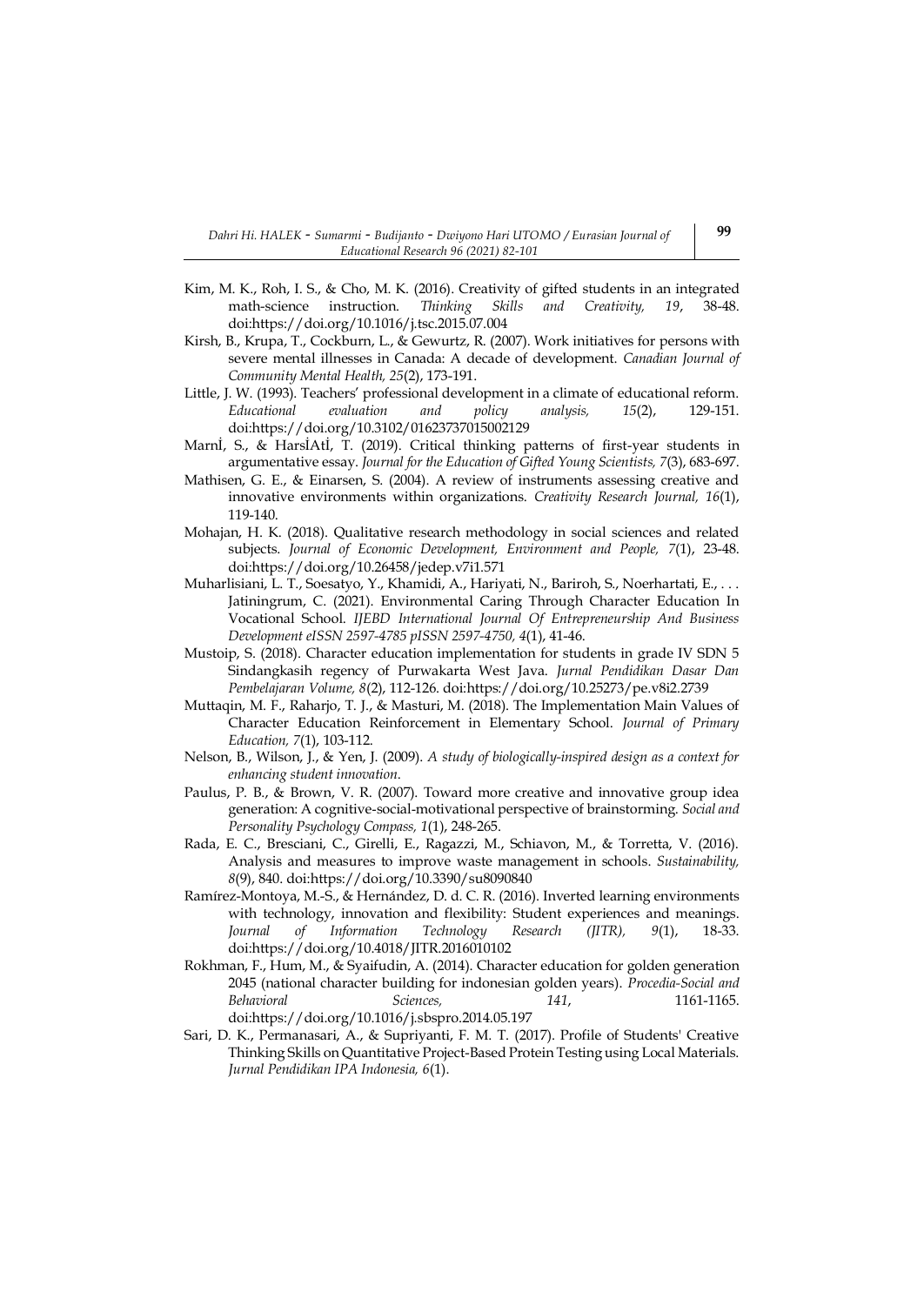- Kim, M. K., Roh, I. S., & Cho, M. K. (2016). Creativity of gifted students in an integrated math-science instruction. *Thinking Skills and Creativity, 19*, 38-48. do[i:https://doi.org/10.1016/j.tsc.2015.07.004](https://doi.org/10.1016/j.tsc.2015.07.004)
- Kirsh, B., Krupa, T., Cockburn, L., & Gewurtz, R. (2007). Work initiatives for persons with severe mental illnesses in Canada: A decade of development. *Canadian Journal of Community Mental Health, 25*(2), 173-191.
- Little, J. W. (1993). Teachers' professional development in a climate of educational reform. *Educational evaluation and policy analysis, 15*(2), 129-151. do[i:https://doi.org/10.3102/01623737015002129](https://doi.org/10.3102/01623737015002129)
- Marnİ, S., & HarsİAtİ, T. (2019). Critical thinking patterns of first-year students in argumentative essay. *Journal for the Education of Gifted Young Scientists, 7*(3), 683-697.
- Mathisen, G. E., & Einarsen, S. (2004). A review of instruments assessing creative and innovative environments within organizations. *Creativity Research Journal, 16*(1), 119-140.
- Mohajan, H. K. (2018). Qualitative research methodology in social sciences and related subjects. *Journal of Economic Development, Environment and People, 7*(1), 23-48. do[i:https://doi.org/10.26458/jedep.v7i1.571](https://doi.org/10.26458/jedep.v7i1.571)
- Muharlisiani, L. T., Soesatyo, Y., Khamidi, A., Hariyati, N., Bariroh, S., Noerhartati, E., . . . Jatiningrum, C. (2021). Environmental Caring Through Character Education In Vocational School. *IJEBD International Journal Of Entrepreneurship And Business Development eISSN 2597-4785 pISSN 2597-4750, 4*(1), 41-46.
- Mustoip, S. (2018). Character education implementation for students in grade IV SDN 5 Sindangkasih regency of Purwakarta West Java. *Jurnal Pendidikan Dasar Dan Pembelajaran Volume, 8*(2), 112-126. doi[:https://doi.org/10.25273/pe.v8i2.2739](https://doi.org/10.25273/pe.v8i2.2739)
- Muttaqin, M. F., Raharjo, T. J., & Masturi, M. (2018). The Implementation Main Values of Character Education Reinforcement in Elementary School. *Journal of Primary Education, 7*(1), 103-112.
- Nelson, B., Wilson, J., & Yen, J. (2009). *A study of biologically-inspired design as a context for enhancing student innovation*.
- Paulus, P. B., & Brown, V. R. (2007). Toward more creative and innovative group idea generation: A cognitive‐social‐motivational perspective of brainstorming. *Social and Personality Psychology Compass, 1*(1), 248-265.
- Rada, E. C., Bresciani, C., Girelli, E., Ragazzi, M., Schiavon, M., & Torretta, V. (2016). Analysis and measures to improve waste management in schools. *Sustainability, 8*(9), 840. doi[:https://doi.org/10.3390/su8090840](https://doi.org/10.3390/su8090840)
- Ramírez-Montoya, M.-S., & Hernández, D. d. C. R. (2016). Inverted learning environments with technology, innovation and flexibility: Student experiences and meanings. *Journal of Information Technology Research (JITR), 9*(1), 18-33. do[i:https://doi.org/10.4018/JITR.2016010102](https://doi.org/10.4018/JITR.2016010102)
- Rokhman, F., Hum, M., & Syaifudin, A. (2014). Character education for golden generation 2045 (national character building for indonesian golden years). *Procedia-Social and Behavioral Sciences, 141*, 1161-1165. do[i:https://doi.org/10.1016/j.sbspro.2014.05.197](https://doi.org/10.1016/j.sbspro.2014.05.197)
- Sari, D. K., Permanasari, A., & Supriyanti, F. M. T. (2017). Profile of Students' Creative Thinking Skills on Quantitative Project-Based Protein Testing using Local Materials. *Jurnal Pendidikan IPA Indonesia, 6*(1).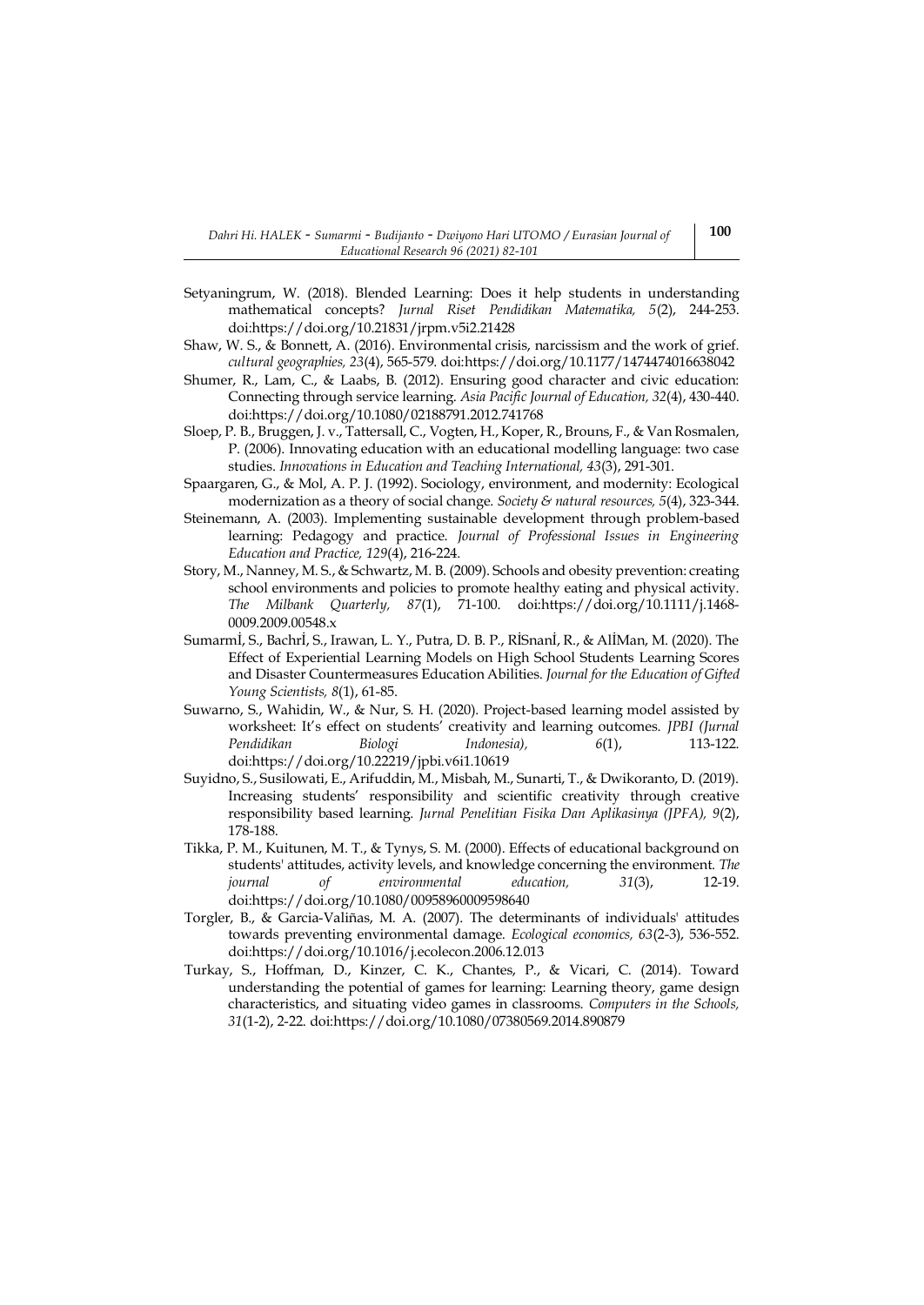- Setyaningrum, W. (2018). Blended Learning: Does it help students in understanding mathematical concepts? *Jurnal Riset Pendidikan Matematika, 5*(2), 244-253. do[i:https://doi.org/10.21831/jrpm.v5i2.21428](https://doi.org/10.21831/jrpm.v5i2.21428)
- Shaw, W. S., & Bonnett, A. (2016). Environmental crisis, narcissism and the work of grief. *cultural geographies, 23*(4), 565-579. do[i:https://doi.org/10.1177/1474474016638042](https://doi.org/10.1177/1474474016638042)
- Shumer, R., Lam, C., & Laabs, B. (2012). Ensuring good character and civic education: Connecting through service learning. *Asia Pacific Journal of Education, 32*(4), 430-440. do[i:https://doi.org/10.1080/02188791.2012.741768](https://doi.org/10.1080/02188791.2012.741768)
- Sloep, P. B., Bruggen, J. v., Tattersall, C., Vogten, H., Koper, R., Brouns, F., & Van Rosmalen, P. (2006). Innovating education with an educational modelling language: two case studies. *Innovations in Education and Teaching International, 43*(3), 291-301.
- Spaargaren, G., & Mol, A. P. J. (1992). Sociology, environment, and modernity: Ecological modernization as a theory of social change. *Society & natural resources, 5*(4), 323-344.
- Steinemann, A. (2003). Implementing sustainable development through problem-based learning: Pedagogy and practice. *Journal of Professional Issues in Engineering Education and Practice, 129*(4), 216-224.
- Story, M., Nanney, M. S., & Schwartz, M. B. (2009). Schools and obesity prevention: creating school environments and policies to promote healthy eating and physical activity. *The Milbank Quarterly, 87*(1), 71-100. doi[:https://doi.org/10.1111/j.1468-](https://doi.org/10.1111/j.1468-0009.2009.00548.x) [0009.2009.00548.x](https://doi.org/10.1111/j.1468-0009.2009.00548.x)
- Sumarmİ, S., Bachrİ, S., Irawan, L. Y., Putra, D. B. P., RİSnanİ, R., & AlİMan, M. (2020). The Effect of Experiential Learning Models on High School Students Learning Scores and Disaster Countermeasures Education Abilities. *Journal for the Education of Gifted Young Scientists, 8*(1), 61-85.
- Suwarno, S., Wahidin, W., & Nur, S. H. (2020). Project-based learning model assisted by worksheet: It's effect on students' creativity and learning outcomes. *JPBI (Jurnal Pendidikan Biologi Indonesia), 6*(1), 113-122. do[i:https://doi.org/10.22219/jpbi.v6i1.10619](https://doi.org/10.22219/jpbi.v6i1.10619)
- Suyidno, S., Susilowati, E., Arifuddin, M., Misbah, M., Sunarti, T., & Dwikoranto, D. (2019). Increasing students' responsibility and scientific creativity through creative responsibility based learning. *Jurnal Penelitian Fisika Dan Aplikasinya (JPFA), 9*(2), 178-188.
- Tikka, P. M., Kuitunen, M. T., & Tynys, S. M. (2000). Effects of educational background on students' attitudes, activity levels, and knowledge concerning the environment. *The journal of environmental education, 31*(3), 12-19. do[i:https://doi.org/10.1080/00958960009598640](https://doi.org/10.1080/00958960009598640)
- Torgler, B., & Garcia-Valiñas, M. A. (2007). The determinants of individuals' attitudes towards preventing environmental damage. *Ecological economics, 63*(2-3), 536-552. do[i:https://doi.org/10.1016/j.ecolecon.2006.12.013](https://doi.org/10.1016/j.ecolecon.2006.12.013)
- Turkay, S., Hoffman, D., Kinzer, C. K., Chantes, P., & Vicari, C. (2014). Toward understanding the potential of games for learning: Learning theory, game design characteristics, and situating video games in classrooms. *Computers in the Schools, 31*(1-2), 2-22. doi[:https://doi.org/10.1080/07380569.2014.890879](https://doi.org/10.1080/07380569.2014.890879)